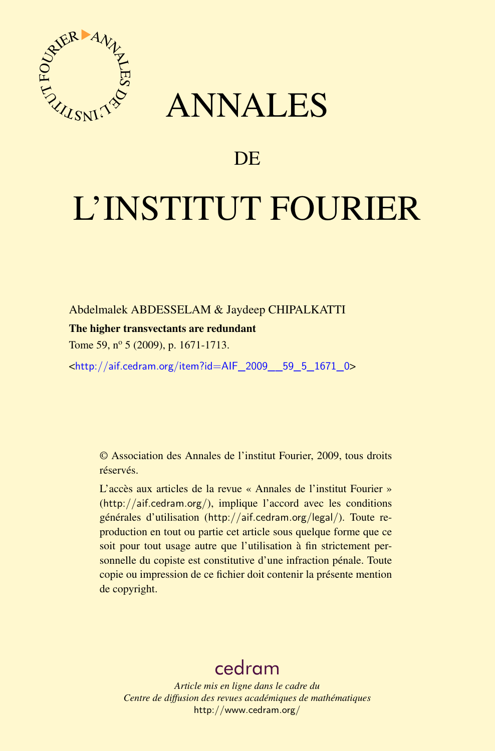

# ANNALES

# **DE**

# L'INSTITUT FOURIER

Abdelmalek ABDESSELAM & Jaydeep CHIPALKATTI

# The higher transvectants are redundant

Tome 59, n<sup>o</sup> 5 (2009), p. 1671-1713.

<[http://aif.cedram.org/item?id=AIF\\_2009\\_\\_59\\_5\\_1671\\_0](http://aif.cedram.org/item?id=AIF_2009__59_5_1671_0)>

© Association des Annales de l'institut Fourier, 2009, tous droits réservés.

L'accès aux articles de la revue « Annales de l'institut Fourier » (<http://aif.cedram.org/>), implique l'accord avec les conditions générales d'utilisation (<http://aif.cedram.org/legal/>). Toute reproduction en tout ou partie cet article sous quelque forme que ce soit pour tout usage autre que l'utilisation à fin strictement personnelle du copiste est constitutive d'une infraction pénale. Toute copie ou impression de ce fichier doit contenir la présente mention de copyright.

# [cedram](http://www.cedram.org/)

*Article mis en ligne dans le cadre du Centre de diffusion des revues académiques de mathématiques* <http://www.cedram.org/>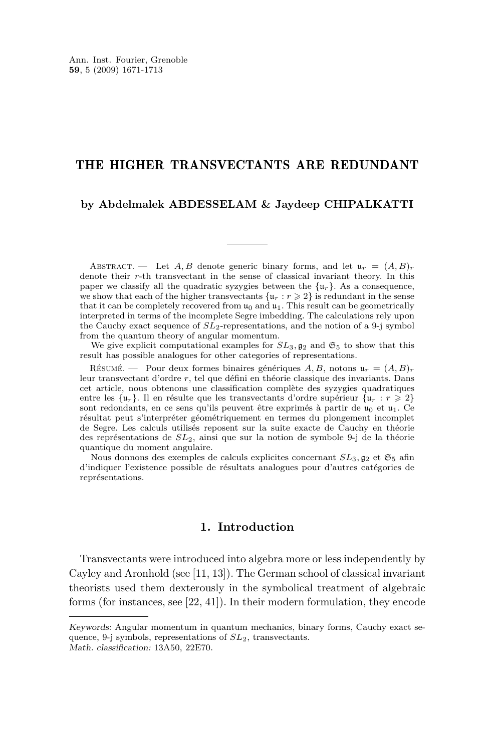# THE HIGHER TRANSVECTANTS ARE REDUNDANT

#### **by Abdelmalek ABDESSELAM & Jaydeep CHIPALKATTI**

ABSTRACT. — Let *A, B* denote generic binary forms, and let  $u_r = (A, B)_r$ denote their *r*-th transvectant in the sense of classical invariant theory. In this paper we classify all the quadratic syzygies between the  $\{u_r\}$ . As a consequence, we show that each of the higher transvectants  $\{u_r : r \geq 2\}$  is redundant in the sense that it can be completely recovered from  $u_0$  and  $u_1$ . This result can be geometrically interpreted in terms of the incomplete Segre imbedding. The calculations rely upon the Cauchy exact sequence of *SL*2-representations, and the notion of a 9-j symbol from the quantum theory of angular momentum.

We give explicit computational examples for  $SL_3$ ,  $\mathfrak{g}_2$  and  $\mathfrak{S}_5$  to show that this result has possible analogues for other categories of representations.

Résumé. — Pour deux formes binaires génériques  $A, B$ , notons  $\mathfrak{u}_r = (A, B)_r$ leur transvectant d'ordre *r*, tel que défini en théorie classique des invariants. Dans cet article, nous obtenons une classification complète des syzygies quadratiques entre les  $\{u_r\}$ . Il en résulte que les transvectants d'ordre supérieur  $\{u_r : r \geqslant 2\}$ sont redondants, en ce sens qu'ils peuvent être exprimés à partir de  $\mu_0$  et  $\mu_1$ . Ce résultat peut s'interpréter géométriquement en termes du plongement incomplet de Segre. Les calculs utilisés reposent sur la suite exacte de Cauchy en théorie des représentations de *SL*2, ainsi que sur la notion de symbole 9-j de la théorie quantique du moment angulaire.

Nous donnons des exemples de calculs explicites concernant  $SL_3$ ,  $\mathfrak{g}_2$  et  $\mathfrak{S}_5$  afin d'indiquer l'existence possible de résultats analogues pour d'autres catégories de représentations.

# **1. Introduction**

Transvectants were introduced into algebra more or less independently by Cayley and Aronhold (see [\[11,](#page-42-0) [13\]](#page-42-0)). The German school of classical invariant theorists used them dexterously in the symbolical treatment of algebraic forms (for instances, see [\[22,](#page-42-0) [41\]](#page-43-0)). In their modern formulation, they encode

Keywords: Angular momentum in quantum mechanics, binary forms, Cauchy exact sequence, 9-j symbols, representations of *SL*2, transvectants. Math. classification: 13A50, 22E70.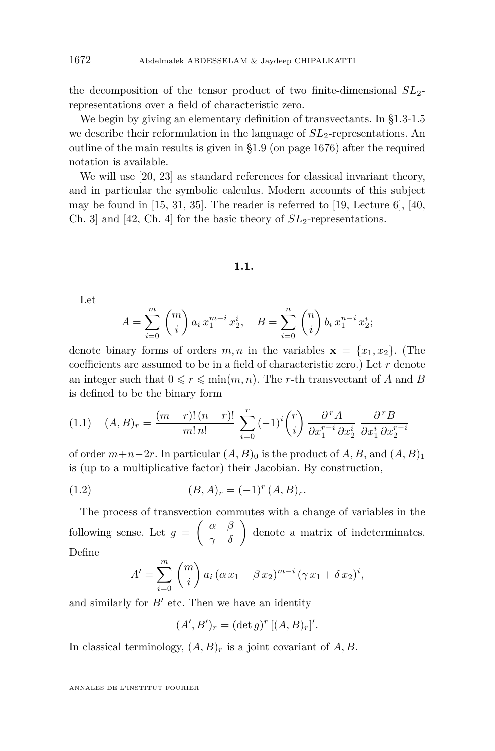<span id="page-2-0"></span>the decomposition of the tensor product of two finite-dimensional *SL*2 representations over a field of characteristic zero.

We begin by giving an elementary definition of transvectants. In [§1.3](#page-3-0)[-1.5](#page-4-0) we describe their reformulation in the language of  $SL<sub>2</sub>$ -representations. An outline of the main results is given in [§1.9](#page-6-0) (on page [1676\)](#page-6-0) after the required notation is available.

We will use [\[20,](#page-42-0) [23\]](#page-42-0) as standard references for classical invariant theory, and in particular the symbolic calculus. Modern accounts of this subject may be found in [\[15,](#page-42-0) [31,](#page-43-0) [35\]](#page-43-0). The reader is referred to [\[19,](#page-42-0) Lecture 6], [\[40,](#page-43-0) Ch. 3] and  $[42, Ch. 4]$  $[42, Ch. 4]$  for the basic theory of  $SL_2$ -representations.

#### **1.1.**

Let

$$
A = \sum_{i=0}^{m} {m \choose i} a_i x_1^{m-i} x_2^i, \quad B = \sum_{i=0}^{n} {n \choose i} b_i x_1^{n-i} x_2^i;
$$

denote binary forms of orders  $m, n$  in the variables  $\mathbf{x} = \{x_1, x_2\}$ . (The coefficients are assumed to be in a field of characteristic zero.) Let *r* denote an integer such that  $0 \leq r \leq \min(m, n)$ . The *r*-th transvectant of *A* and *B* is defined to be the binary form

$$
(1.1) \quad (A,B)_r = \frac{(m-r)!(n-r)!}{m! \, n!} \sum_{i=0}^r (-1)^i \binom{r}{i} \frac{\partial^r A}{\partial x_1^{r-i} \partial x_2^i} \frac{\partial^r B}{\partial x_1^i \partial x_2^{r-i}}
$$

of order  $m+n-2r$ . In particular  $(A, B)_0$  is the product of  $A, B$ , and  $(A, B)_1$ is (up to a multiplicative factor) their Jacobian. By construction,

(1.2) 
$$
(B, A)_r = (-1)^r (A, B)_r.
$$

The process of transvection commutes with a change of variables in the following sense. Let  $g = \begin{pmatrix} \alpha & \beta \\ \gamma & \delta \end{pmatrix}$  denote a matrix of indeterminates. Define

$$
A' = \sum_{i=0}^{m} {m \choose i} a_i (\alpha x_1 + \beta x_2)^{m-i} (\gamma x_1 + \delta x_2)^i,
$$

and similarly for  $B'$  etc. Then we have an identity

$$
(A', B')_r = (\det g)^r [(A, B)_r]'
$$
.

In classical terminology,  $(A, B)_r$  is a joint covariant of  $A, B$ .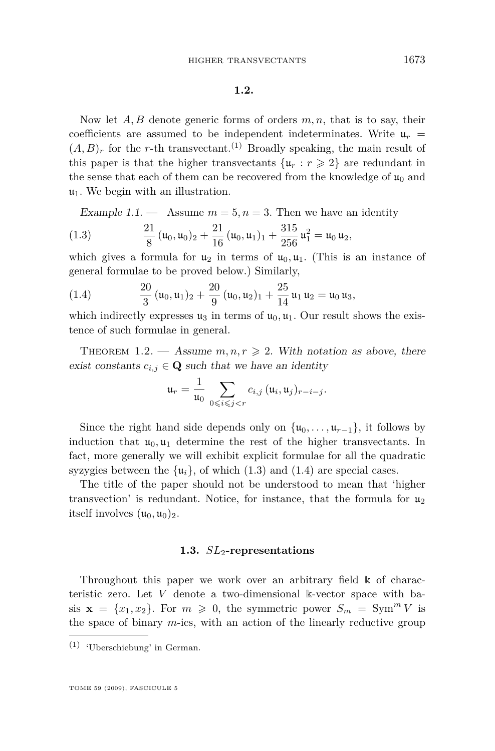#### **1.2.**

<span id="page-3-0"></span>Now let *A, B* denote generic forms of orders *m, n*, that is to say, their coefficients are assumed to be independent indeterminates. Write  $\mu_r =$  $(A, B)<sub>r</sub>$  for the *r*-th transvectant.<sup>(1)</sup> Broadly speaking, the main result of this paper is that the higher transvectants  $\{u_r : r \geq 2\}$  are redundant in the sense that each of them can be recovered from the knowledge of  $\mathfrak{u}_0$  and  $\mathfrak{u}_1$ . We begin with an illustration.

Example 1.1.  $\qquad$  Assume  $m = 5, n = 3$ . Then we have an identity

(1.3) 
$$
\frac{21}{8} (u_0, u_0)_2 + \frac{21}{16} (u_0, u_1)_1 + \frac{315}{256} u_1^2 = u_0 u_2,
$$

which gives a formula for  $u_2$  in terms of  $u_0, u_1$ . (This is an instance of general formulae to be proved below.) Similarly,

(1.4) 
$$
\frac{20}{3} (u_0, u_1)_2 + \frac{20}{9} (u_0, u_2)_1 + \frac{25}{14} u_1 u_2 = u_0 u_3,
$$

which indirectly expresses  $u_3$  in terms of  $u_0, u_1$ . Our result shows the existence of such formulae in general.

THEOREM 1.2. — Assume  $m, n, r \geq 2$ . With notation as above, there exist constants  $c_{i,j} \in \mathbf{Q}$  such that we have an identity

$$
\mathfrak{u}_r = \frac{1}{\mathfrak{u}_0} \sum_{0 \leqslant i \leqslant j < r} c_{i,j} \, (\mathfrak{u}_i, \mathfrak{u}_j)_{r-i-j}.
$$

Since the right hand side depends only on  $\{u_0, \ldots, u_{r-1}\}$ , it follows by induction that  $u_0, u_1$  determine the rest of the higher transvectants. In fact, more generally we will exhibit explicit formulae for all the quadratic syzygies between the  $\{u_i\}$ , of which (1.3) and (1.4) are special cases.

The title of the paper should not be understood to mean that 'higher transvection' is redundant. Notice, for instance, that the formula for  $u_2$ itself involves  $(\mathfrak{u}_0, \mathfrak{u}_0)_2$ .

#### **1.3.** *SL*2**-representations**

Throughout this paper we work over an arbitrary field k of characteristic zero. Let *V* denote a two-dimensional k-vector space with basis  $\mathbf{x} = \{x_1, x_2\}$ . For  $m \geq 0$ , the symmetric power  $S_m = \text{Sym}^m V$  is the space of binary *m*-ics, with an action of the linearly reductive group

<sup>(1)</sup> 'Uberschiebung' in German.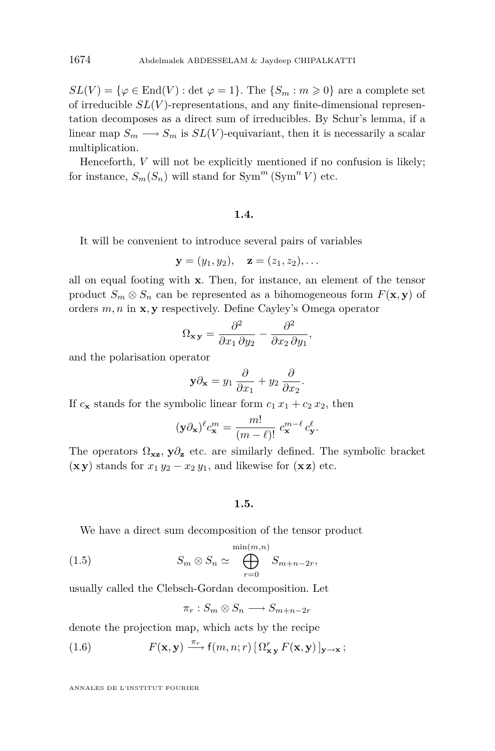<span id="page-4-0"></span> $SL(V) = {\varphi \in \text{End}(V) : \det \varphi = 1}.$  The  ${S_m : m \geq 0}$  are a complete set of irreducible *SL*(*V* )-representations, and any finite-dimensional representation decomposes as a direct sum of irreducibles. By Schur's lemma, if a linear map  $S_m \longrightarrow S_m$  is  $SL(V)$ -equivariant, then it is necessarily a scalar multiplication.

Henceforth, *V* will not be explicitly mentioned if no confusion is likely; for instance,  $S_m(S_n)$  will stand for  $\text{Sym}^m(\text{Sym}^n V)$  etc.

#### **1.4.**

It will be convenient to introduce several pairs of variables

$$
y = (y_1, y_2),
$$
  $z = (z_1, z_2),...$ 

all on equal footing with **x**. Then, for instance, an element of the tensor product  $S_m \otimes S_n$  can be represented as a bihomogeneous form  $F(\mathbf{x}, \mathbf{y})$  of orders *m, n* in **x***,* **y** respectively. Define Cayley's Omega operator

$$
\Omega_{\mathbf{x}\,\mathbf{y}} = \frac{\partial^2}{\partial x_1 \,\partial y_2} - \frac{\partial^2}{\partial x_2 \,\partial y_1},
$$

and the polarisation operator

$$
\mathbf{y}\partial_{\mathbf{x}} = y_1 \frac{\partial}{\partial x_1} + y_2 \frac{\partial}{\partial x_2}
$$

*.*

If  $c_{\mathbf{x}}$  stands for the symbolic linear form  $c_1 x_1 + c_2 x_2$ , then

$$
(\mathbf{y}\partial_{\mathbf{x}})^{\ell}c_{\mathbf{x}}^{m} = \frac{m!}{(m-\ell)!} c_{\mathbf{x}}^{m-\ell} c_{\mathbf{y}}^{\ell}.
$$

The operators  $\Omega_{\mathbf{x}\mathbf{z}}$ ,  $\mathbf{y}\partial_{\mathbf{z}}$  etc. are similarly defined. The symbolic bracket  $(\mathbf{xy})$  stands for  $x_1 y_2 - x_2 y_1$ , and likewise for  $(\mathbf{x}\mathbf{z})$  etc.

# **1.5.**

We have a direct sum decomposition of the tensor product

(1.5) 
$$
S_m \otimes S_n \simeq \bigoplus_{r=0}^{\min(m,n)} S_{m+n-2r},
$$

usually called the Clebsch-Gordan decomposition. Let

$$
\pi_r: S_m \otimes S_n \longrightarrow S_{m+n-2r}
$$

denote the projection map, which acts by the recipe

(1.6) 
$$
F(\mathbf{x}, \mathbf{y}) \xrightarrow{\pi_r} f(m, n; r) \left[ \Omega_{\mathbf{x} \mathbf{y}}^r F(\mathbf{x}, \mathbf{y}) \right]_{\mathbf{y} \to \mathbf{x}};
$$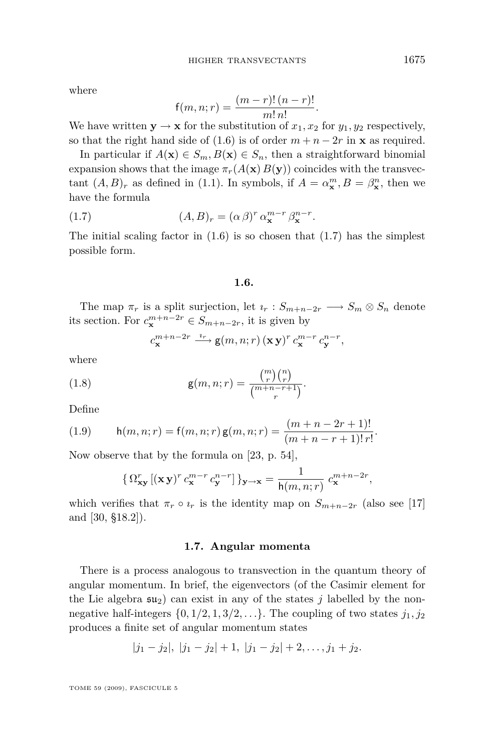<span id="page-5-0"></span>where

$$
f(m, n; r) = \frac{(m - r)! (n - r)!}{m! n!}
$$

*.*

We have written  $y \rightarrow x$  for the substitution of  $x_1, x_2$  for  $y_1, y_2$  respectively, so that the right hand side of [\(1.6\)](#page-4-0) is of order  $m + n - 2r$  in **x** as required.

In particular if  $A(\mathbf{x}) \in S_m$ ,  $B(\mathbf{x}) \in S_n$ , then a straightforward binomial expansion shows that the image  $\pi_r(A(\mathbf{x}) B(\mathbf{y}))$  coincides with the transvectant  $(A, B)_r$  as defined in [\(1.1\)](#page-2-0). In symbols, if  $A = \alpha_x^m, B = \beta_x^n$ , then we have the formula

(1.7) 
$$
(A, B)_r = (\alpha \beta)^r \alpha_{\mathbf{x}}^{m-r} \beta_{\mathbf{x}}^{n-r}.
$$

The initial scaling factor in  $(1.6)$  is so chosen that  $(1.7)$  has the simplest possible form.

## **1.6.**

The map  $\pi_r$  is a split surjection, let  $i_r : S_{m+n-2r} \longrightarrow S_m \otimes S_n$  denote its section. For  $c_{\mathbf{x}}^{m+n-2r} \in S_{m+n-2r}$ , it is given by

$$
c_{\mathbf{x}}^{m+n-2r} \xrightarrow{\iota_r} \mathbf{g}(m,n;r) \left(\mathbf{x}\,\mathbf{y}\right)^r c_{\mathbf{x}}^{m-r} c_{\mathbf{y}}^{n-r},
$$

where

(1.8) 
$$
g(m, n; r) = \frac{\binom{m}{r}\binom{n}{r}}{\binom{m+n-r+1}{r}}.
$$

Define

(1.9) 
$$
h(m, n; r) = f(m, n; r) g(m, n; r) = \frac{(m + n - 2r + 1)!}{(m + n - r + 1)! \, r!}.
$$

Now observe that by the formula on [\[23,](#page-42-0) p. 54],

$$
\left\{\,\Omega^r_{\mathbf{x}\mathbf{y}}\left[({\mathbf{x}\,\mathbf{y}})^r\,c^{m-r}_{\mathbf{x}}\,c^{n-r}_{\mathbf{y}}\right]\right\}_{\mathbf{y}\to\mathbf{x}}=\frac{1}{\mathsf{h}(m,n;r)}\,c^{m+n-2r}_{\mathbf{x}},
$$

which verifies that  $\pi_r \circ \iota_r$  is the identity map on  $S_{m+n-2r}$  (also see [\[17\]](#page-42-0) and [\[30,](#page-43-0) §18.2]).

#### **1.7. Angular momenta**

There is a process analogous to transvection in the quantum theory of angular momentum. In brief, the eigenvectors (of the Casimir element for the Lie algebra  $su_2$  can exist in any of the states *j* labelled by the nonnegative half-integers  $\{0, 1/2, 1, 3/2, \ldots\}$ . The coupling of two states  $j_1, j_2$ produces a finite set of angular momentum states

$$
|j_1-j_2|, |j_1-j_2|+1, |j_1-j_2|+2,\ldots,j_1+j_2.
$$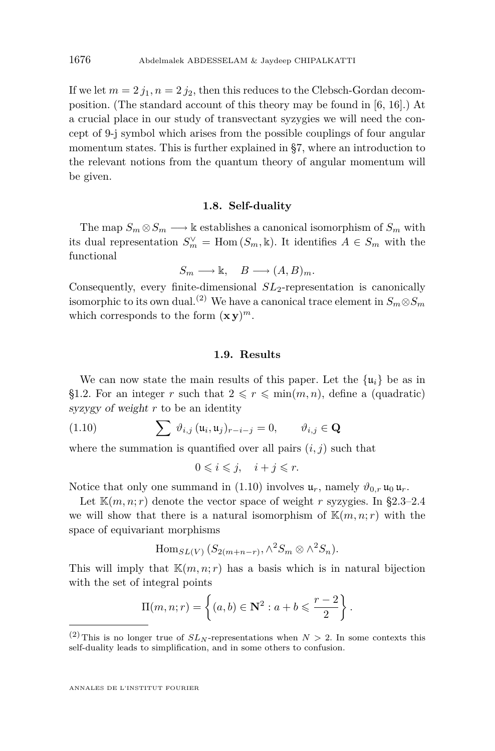If we let  $m = 2 j_1, n = 2 j_2$ , then this reduces to the Clebsch-Gordan decomposition. (The standard account of this theory may be found in [\[6,](#page-42-0) [16\]](#page-42-0).) At a crucial place in our study of transvectant syzygies we will need the concept of 9-j symbol which arises from the possible couplings of four angular momentum states. This is further explained in [§7,](#page-31-0) where an introduction to the relevant notions from the quantum theory of angular momentum will be given.

#### **1.8. Self-duality**

The map  $S_m \otimes S_m \longrightarrow \mathbb{k}$  establishes a canonical isomorphism of  $S_m$  with its dual representation  $S_m^{\vee} = \text{Hom}(S_m, \mathbb{k})$ . It identifies  $A \in S_m$  with the functional

$$
S_m \longrightarrow \mathbb{k}, \quad B \longrightarrow (A, B)_m.
$$

Consequently, every finite-dimensional *SL*2-representation is canonically isomorphic to its own dual.<sup>(2)</sup> We have a canonical trace element in  $S_m \otimes S_m$ which corresponds to the form  $(\mathbf{xy})^m$ .

# **1.9. Results**

We can now state the main results of this paper. Let the  $\{u_i\}$  be as in [§1.2.](#page-3-0) For an integer *r* such that  $2 \le r \le \min(m, n)$ , define a (quadratic) syzygy of weight *r* to be an identity

(1.10) 
$$
\sum \vartheta_{i,j} (\mathfrak{u}_i, \mathfrak{u}_j)_{r-i-j} = 0, \qquad \vartheta_{i,j} \in \mathbf{Q}
$$

where the summation is quantified over all pairs  $(i, j)$  such that

$$
0 \leqslant i \leqslant j, \quad i + j \leqslant r.
$$

Notice that only one summand in (1.10) involves  $\mathfrak{u}_r$ , namely  $\vartheta_{0,r} \mathfrak{u}_0 \mathfrak{u}_r$ .

Let  $\mathbb{K}(m, n; r)$  denote the vector space of weight *r* syzygies. In [§2.3–2.4](#page-9-0) we will show that there is a natural isomorphism of  $\mathbb{K}(m,n;r)$  with the space of equivariant morphisms

Hom<sub>$$
SL(V)
$$</sub>  $(S_{2(m+n-r)}, \wedge^2 S_m \otimes \wedge^2 S_n)$ .

This will imply that  $\mathbb{K}(m, n; r)$  has a basis which is in natural bijection with the set of integral points

$$
\Pi(m, n; r) = \left\{ (a, b) \in \mathbf{N}^2 : a + b \leqslant \frac{r - 2}{2} \right\}.
$$

<span id="page-6-0"></span>

<sup>&</sup>lt;sup>(2)</sup>This is no longer true of  $SL_N$ -representations when  $N > 2$ . In some contexts this self-duality leads to simplification, and in some others to confusion.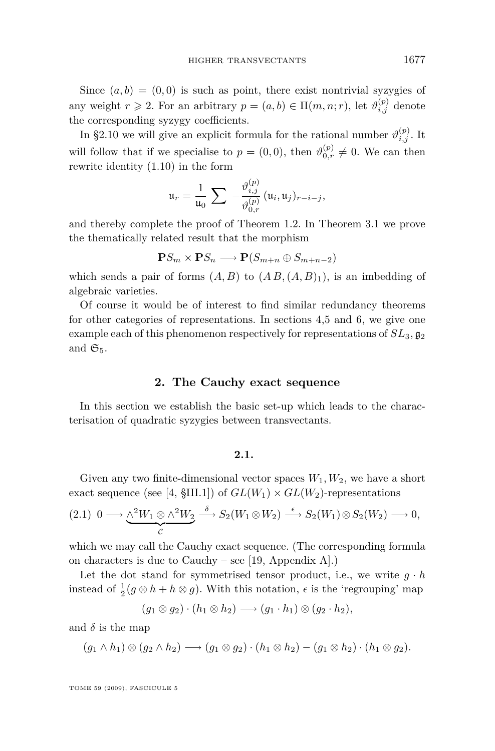<span id="page-7-0"></span>Since  $(a, b) = (0, 0)$  is such as point, there exist nontrivial syzygies of any weight  $r \ge 2$ . For an arbitrary  $p = (a, b) \in \Pi(m, n; r)$ , let  $\vartheta_{i,j}^{(p)}$  denote the corresponding syzygy coefficients.

In [§2.10](#page-12-0) we will give an explicit formula for the rational number  $\vartheta_{i,j}^{(p)}$ . It will follow that if we specialise to  $p = (0,0)$ , then  $\vartheta_{0,r}^{(p)} \neq 0$ . We can then rewrite identity [\(1.10\)](#page-6-0) in the form

$$
\mathfrak{u}_r = \frac{1}{\mathfrak{u}_0} \sum -\frac{\vartheta_{i,j}^{(p)}}{\vartheta_{0,r}^{(p)}} (\mathfrak{u}_i, \mathfrak{u}_j)_{r-i-j},
$$

and thereby complete the proof of Theorem [1.2.](#page-3-0) In Theorem [3.1](#page-17-0) we prove the thematically related result that the morphism

$$
\mathbf{P} S_m \times \mathbf{P} S_n \longrightarrow \mathbf{P} (S_{m+n} \oplus S_{m+n-2})
$$

which sends a pair of forms  $(A, B)$  to  $(A B, (A, B)_1)$ , is an imbedding of algebraic varieties.

Of course it would be of interest to find similar redundancy theorems for other categories of representations. In sections [4,](#page-21-0)[5](#page-24-0) and [6,](#page-27-0) we give one example each of this phenomenon respectively for representations of  $SL_3$ ,  $\mathfrak{g}_2$ and  $\mathfrak{S}_5$ .

#### **2. The Cauchy exact sequence**

In this section we establish the basic set-up which leads to the characterisation of quadratic syzygies between transvectants.

#### **2.1.**

Given any two finite-dimensional vector spaces  $W_1, W_2$ , we have a short exact sequence (see [\[4,](#page-42-0)  $\SIII.1$ ]) of  $GL(W_1) \times GL(W_2)$ -representations

$$
(2.1) \ 0 \longrightarrow \underbrace{\wedge^2 W_1 \otimes \wedge^2 W_2}_{\mathcal{C}} \stackrel{\delta}{\longrightarrow} S_2(W_1 \otimes W_2) \stackrel{\epsilon}{\longrightarrow} S_2(W_1) \otimes S_2(W_2) \longrightarrow 0,
$$

which we may call the Cauchy exact sequence. (The corresponding formula on characters is due to Cauchy – see [\[19,](#page-42-0) Appendix A].)

Let the dot stand for symmetrised tensor product, i.e., we write  $g \cdot h$ instead of  $\frac{1}{2}(g \otimes h + h \otimes g)$ . With this notation,  $\epsilon$  is the 'regrouping' map

$$
(g_1 \otimes g_2) \cdot (h_1 \otimes h_2) \longrightarrow (g_1 \cdot h_1) \otimes (g_2 \cdot h_2),
$$

and  $\delta$  is the map

$$
(g_1 \wedge h_1) \otimes (g_2 \wedge h_2) \longrightarrow (g_1 \otimes g_2) \cdot (h_1 \otimes h_2) - (g_1 \otimes h_2) \cdot (h_1 \otimes g_2).
$$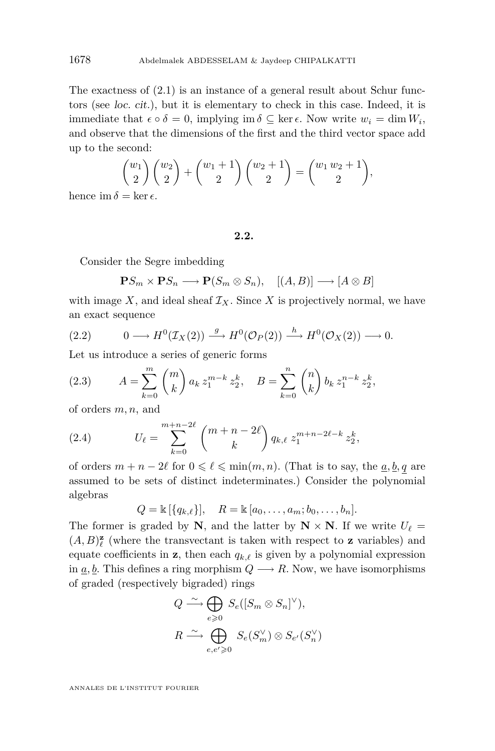The exactness of [\(2.1\)](#page-7-0) is an instance of a general result about Schur functors (see loc. cit.), but it is elementary to check in this case. Indeed, it is immediate that  $\epsilon \circ \delta = 0$ , implying im  $\delta \subseteq \ker \epsilon$ . Now write  $w_i = \dim W_i$ , and observe that the dimensions of the first and the third vector space add up to the second:

$$
\binom{w_1}{2}\binom{w_2}{2} + \binom{w_1+1}{2}\binom{w_2+1}{2} = \binom{w_1\,w_2+1}{2},
$$
  
= ker  $\epsilon$ 

hence im  $\delta = \ker \epsilon$ .

# **2.2.**

Consider the Segre imbedding

$$
\mathbf{P}S_m \times \mathbf{P}S_n \longrightarrow \mathbf{P}(S_m \otimes S_n), \quad [(A, B)] \longrightarrow [A \otimes B]
$$

with image  $X$ , and ideal sheaf  $\mathcal{I}_X$ . Since  $X$  is projectively normal, we have an exact sequence

(2.2) 
$$
0 \longrightarrow H^0(\mathcal{I}_X(2)) \stackrel{g}{\longrightarrow} H^0(\mathcal{O}_P(2)) \stackrel{h}{\longrightarrow} H^0(\mathcal{O}_X(2)) \longrightarrow 0.
$$

Let us introduce a series of generic forms

(2.3) 
$$
A = \sum_{k=0}^{m} {m \choose k} a_k z_1^{m-k} z_2^k, \quad B = \sum_{k=0}^{n} {n \choose k} b_k z_1^{n-k} z_2^k,
$$

of orders *m, n*, and

(2.4) 
$$
U_{\ell} = \sum_{k=0}^{m+n-2\ell} {m+n-2\ell \choose k} q_{k,\ell} z_1^{m+n-2\ell-k} z_2^k,
$$

of orders  $m + n - 2\ell$  for  $0 \leq \ell \leq \min(m, n)$ . (That is to say, the  $\underline{a}, \underline{b}, \underline{q}$  are assumed to be sets of distinct indeterminates.) Consider the polynomial algebras

$$
Q = \mathbb{k} [\{q_{k,\ell}\}], \quad R = \mathbb{k} [a_0, \dots, a_m; b_0, \dots, b_n].
$$

The former is graded by **N**, and the latter by  $N \times N$ . If we write  $U_{\ell} =$  $(A, B)_\ell^{\mathbf{z}}$  (where the transvectant is taken with respect to **z** variables) and equate coefficients in **z**, then each  $q_{k,\ell}$  is given by a polynomial expression in  $a, b$ . This defines a ring morphism  $Q \rightarrow R$ . Now, we have isomorphisms of graded (respectively bigraded) rings

$$
Q \xrightarrow{\sim} \bigoplus_{e \geq 0} S_e([S_m \otimes S_n]^{\vee}),
$$
  

$$
R \xrightarrow{\sim} \bigoplus_{e,e' \geq 0} S_e(S_m^{\vee}) \otimes S_{e'}(S_n^{\vee})
$$

<span id="page-8-0"></span>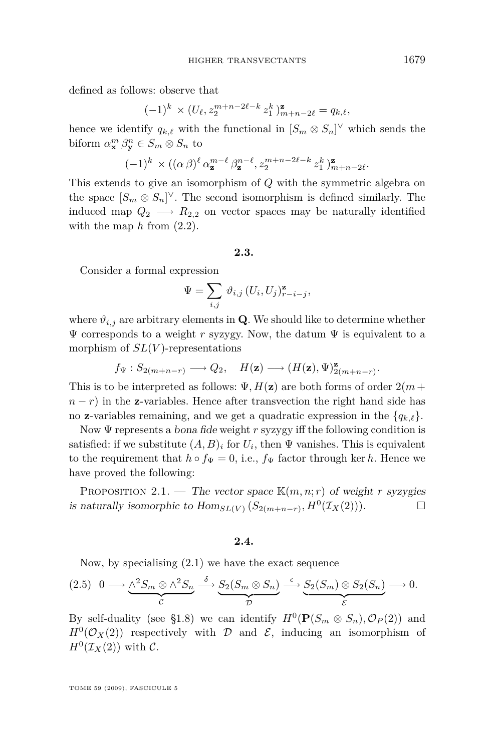<span id="page-9-0"></span>defined as follows: observe that

$$
(-1)^k \times (U_{\ell}, z_2^{m+n-2\ell-k} z_1^k)_{m+n-2\ell}^{\mathbf{z}} = q_{k,\ell},
$$

hence we identify  $q_{k,\ell}$  with the functional in  $[S_m \otimes S_n]^\vee$  which sends the biform  $\alpha_{\mathbf{x}}^m \beta_{\mathbf{y}}^n \in S_m \otimes S_n$  to

$$
(-1)^k \times ((\alpha \beta)^{\ell} \alpha_{\mathbf{z}}^{m-\ell} \beta_{\mathbf{z}}^{n-\ell}, z_2^{m+n-2\ell-k} z_1^k)_{m+n-2\ell}^{\mathbf{z}}.
$$

This extends to give an isomorphism of *Q* with the symmetric algebra on the space  $[S_m \otimes S_n]^\vee$ . The second isomorphism is defined similarly. The induced map  $Q_2 \longrightarrow R_{2,2}$  on vector spaces may be naturally identified with the map  $h$  from  $(2.2)$ .

#### **2.3.**

Consider a formal expression

$$
\Psi = \sum_{i,j} \vartheta_{i,j} \left( U_i, U_j \right)_{r-i-j}^{\mathbf{z}},
$$

where  $\vartheta_{i,j}$  are arbitrary elements in **Q**. We should like to determine whether  $\Psi$  corresponds to a weight *r* syzygy. Now, the datum  $\Psi$  is equivalent to a morphism of *SL*(*V* )-representations

$$
f_{\Psi}: S_{2(m+n-r)} \longrightarrow Q_2, \quad H(\mathbf{z}) \longrightarrow (H(\mathbf{z}), \Psi)_{2(m+n-r)}^{\mathbf{z}}.
$$

This is to be interpreted as follows:  $\Psi$ ,  $H(\mathbf{z})$  are both forms of order  $2(m +$  $n - r$ ) in the **z**-variables. Hence after transvection the right hand side has no **z**-variables remaining, and we get a quadratic expression in the  ${q_{k,\ell}}$ .

Now Ψ represents a bona fide weight *r* syzygy iff the following condition is satisfied: if we substitute  $(A, B)_i$  for  $U_i$ , then  $\Psi$  vanishes. This is equivalent to the requirement that  $h \circ f_{\Psi} = 0$ , i.e.,  $f_{\Psi}$  factor through ker *h*. Hence we have proved the following:

PROPOSITION 2.1. — The vector space  $\mathbb{K}(m, n; r)$  of weight *r* syzygies is naturally isomorphic to  $\text{Hom}_{SL(V)}(S_{2(m+n-r)}, H^0(\mathcal{I}_X(2)))$ .

#### **2.4.**

Now, by specialising [\(2.1\)](#page-7-0) we have the exact sequence

$$
(2.5) \quad 0 \longrightarrow \underbrace{\wedge^2 S_m \otimes \wedge^2 S_n}_{\mathcal{C}} \xrightarrow{\delta} \underbrace{S_2(S_m \otimes S_n)}_{\mathcal{D}} \xrightarrow{\epsilon} \underbrace{S_2(S_m) \otimes S_2(S_n)}_{\mathcal{E}} \longrightarrow 0.
$$

By self-duality (see [§1.8\)](#page-6-0) we can identify  $H^0(\mathbf{P}(S_m \otimes S_n), \mathcal{O}_P(2))$  and  $H^0(\mathcal{O}_X(2))$  respectively with *D* and *E*, inducing an isomorphism of  $H^0(\mathcal{I}_X(2))$  with  $\mathcal{C}$ .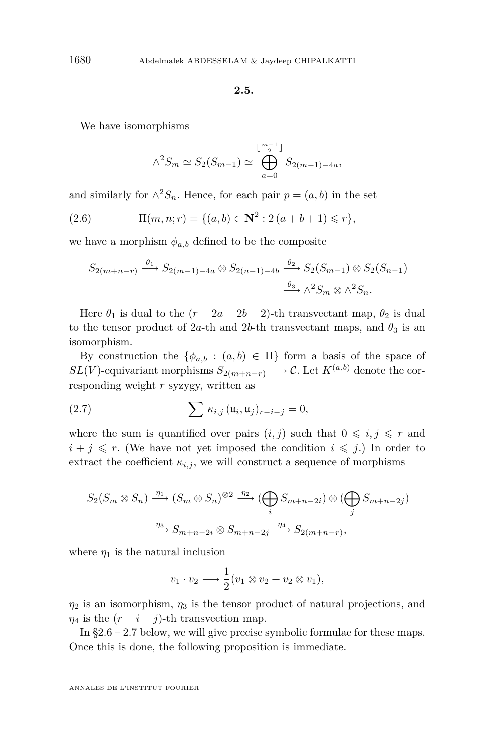#### **2.5.**

<span id="page-10-0"></span>We have isomorphisms

$$
\wedge^2 S_m \simeq S_2(S_{m-1}) \simeq \bigoplus_{a=0}^{\lfloor \frac{m-1}{2} \rfloor} S_{2(m-1)-4a},
$$

and similarly for  $\wedge^2 S_n$ . Hence, for each pair  $p = (a, b)$  in the set

(2.6) 
$$
\Pi(m, n; r) = \{(a, b) \in \mathbb{N}^2 : 2(a + b + 1) \leq r\},\
$$

we have a morphism  $\phi_{a,b}$  defined to be the composite

$$
S_{2(m+n-r)} \xrightarrow{\theta_1} S_{2(m-1)-4a} \otimes S_{2(n-1)-4b} \xrightarrow{\theta_2} S_2(S_{m-1}) \otimes S_2(S_{n-1})
$$

$$
\xrightarrow{\theta_3} \wedge^2 S_m \otimes \wedge^2 S_n.
$$

Here  $\theta_1$  is dual to the  $(r - 2a - 2b - 2)$ -th transvectant map,  $\theta_2$  is dual to the tensor product of 2*a*-th and 2*b*-th transvectant maps, and  $\theta_3$  is an isomorphism.

By construction the  $\{\phi_{a,b} : (a,b) \in \Pi\}$  form a basis of the space of *SL*(*V*)-equivariant morphisms  $S_{2(m+n-r)} \longrightarrow \mathcal{C}$ . Let  $K^{(a,b)}$  denote the corresponding weight *r* syzygy, written as

(2.7) 
$$
\sum \kappa_{i,j} (\mathfrak{u}_i, \mathfrak{u}_j)_{r-i-j} = 0,
$$

where the sum is quantified over pairs  $(i, j)$  such that  $0 \leq i, j \leq r$  and  $i + j \leq r$ . (We have not yet imposed the condition  $i \leq j$ .) In order to extract the coefficient  $\kappa_{i,j}$ , we will construct a sequence of morphisms

$$
S_2(S_m \otimes S_n) \xrightarrow{\eta_1} (S_m \otimes S_n)^{\otimes 2} \xrightarrow{\eta_2} (\bigoplus_i S_{m+n-2i}) \otimes (\bigoplus_j S_{m+n-2j})
$$

$$
\xrightarrow{\eta_3} S_{m+n-2i} \otimes S_{m+n-2j} \xrightarrow{\eta_4} S_{2(m+n-r)},
$$

where  $\eta_1$  is the natural inclusion

$$
v_1 \cdot v_2 \longrightarrow \frac{1}{2}(v_1 \otimes v_2 + v_2 \otimes v_1),
$$

 $\eta_2$  is an isomorphism,  $\eta_3$  is the tensor product of natural projections, and  $\eta_4$  is the  $(r - i - j)$ -th transvection map.

In  $\S 2.6 - 2.7$  $\S 2.6 - 2.7$  below, we will give precise symbolic formulae for these maps. Once this is done, the following proposition is immediate.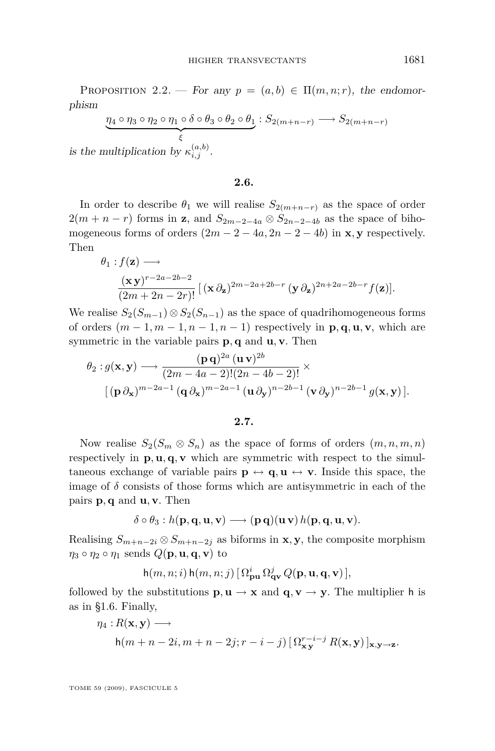<span id="page-11-0"></span>PROPOSITION 2.2. — For any  $p = (a, b) \in \Pi(m, n; r)$ , the endomorphism

$$
\underbrace{\eta_4 \circ \eta_3 \circ \eta_2 \circ \eta_1 \circ \delta \circ \theta_3 \circ \theta_2 \circ \theta_1}_{\xi} : S_{2(m+n-r)} \longrightarrow S_{2(m+n-r)}
$$
\nmultiplication by  $\kappa^{(a,b)}$ 

is the multiplication by  $\kappa_{i,j}^{(a,b)}$ .

**2.6.**

In order to describe  $\theta_1$  we will realise  $S_{2(m+n-r)}$  as the space of order  $2(m + n - r)$  forms in **z**, and  $S_{2m-2-4a} \otimes S_{2n-2-4b}$  as the space of bihomogeneous forms of orders  $(2m - 2 - 4a, 2n - 2 - 4b)$  in **x**, **y** respectively. Then

$$
\theta_1: f(\mathbf{z}) \longrightarrow
$$
  

$$
\frac{(\mathbf{x}\,\mathbf{y})^{r-2a-2b-2}}{(2m+2n-2r)!} \left[ (\mathbf{x}\,\partial_{\mathbf{z}})^{2m-2a+2b-r} (\mathbf{y}\,\partial_{\mathbf{z}})^{2n+2a-2b-r} f(\mathbf{z}) \right].
$$

We realise  $S_2(S_{m-1}) \otimes S_2(S_{n-1})$  as the space of quadrihomogeneous forms of orders  $(m-1, m-1, n-1, n-1)$  respectively in  $\mathbf{p}, \mathbf{q}, \mathbf{u}, \mathbf{v}$ , which are symmetric in the variable pairs **p***,* **q** and **u***,* **v**. Then

$$
\theta_2: g(\mathbf{x}, \mathbf{y}) \longrightarrow \frac{(\mathbf{p}\,\mathbf{q})^{2a} (\mathbf{u}\,\mathbf{v})^{2b}}{(2m - 4a - 2)!(2n - 4b - 2)!} \times \left[ (\mathbf{p}\,\partial_{\mathbf{x}})^{m - 2a - 1} (\mathbf{q}\,\partial_{\mathbf{x}})^{m - 2a - 1} (\mathbf{u}\,\partial_{\mathbf{y}})^{n - 2b - 1} (\mathbf{v}\,\partial_{\mathbf{y}})^{n - 2b - 1} g(\mathbf{x}, \mathbf{y}) \right].
$$

$$
2.7.
$$

Now realise  $S_2(S_m \otimes S_n)$  as the space of forms of orders  $(m, n, m, n)$ respectively in  $\mathbf{p}, \mathbf{u}, \mathbf{q}, \mathbf{v}$  which are symmetric with respect to the simultaneous exchange of variable pairs  $p \leftrightarrow q, u \leftrightarrow v$ . Inside this space, the image of  $\delta$  consists of those forms which are antisymmetric in each of the pairs **p***,* **q** and **u***,* **v**. Then

$$
\delta \circ \theta_3 : h(\mathbf{p}, \mathbf{q}, \mathbf{u}, \mathbf{v}) \longrightarrow (\mathbf{p}, \mathbf{q})(\mathbf{u}, \mathbf{v}) h(\mathbf{p}, \mathbf{q}, \mathbf{u}, \mathbf{v}).
$$

Realising  $S_{m+n-2i} \otimes S_{m+n-2j}$  as biforms in **x***,* **y**, the composite morphism  $\eta_3 \circ \eta_2 \circ \eta_1$  sends  $Q(\mathbf{p}, \mathbf{u}, \mathbf{q}, \mathbf{v})$  to

$$
\mathsf{h}(m,n;i)\,\mathsf{h}(m,n;j)\,[\,\Omega_{\mathbf{p}\mathbf{u}}^i\,\Omega_{\mathbf{q}\mathbf{v}}^j\,Q(\mathbf{p},\mathbf{u},\mathbf{q},\mathbf{v})\,],
$$

followed by the substitutions  $\mathbf{p}, \mathbf{u} \to \mathbf{x}$  and  $\mathbf{q}, \mathbf{v} \to \mathbf{y}$ . The multiplier h is as in [§1.6.](#page-5-0) Finally,

$$
\eta_4:R(\mathbf{x}, \mathbf{y}) \longrightarrow
$$
  
h(m+n-2i, m+n-2j;r-i-j)  $\left[\Omega_{\mathbf{xy}}^{r-i-j} R(\mathbf{x}, \mathbf{y})\right]_{\mathbf{x}, \mathbf{y}\to\mathbf{z}}.$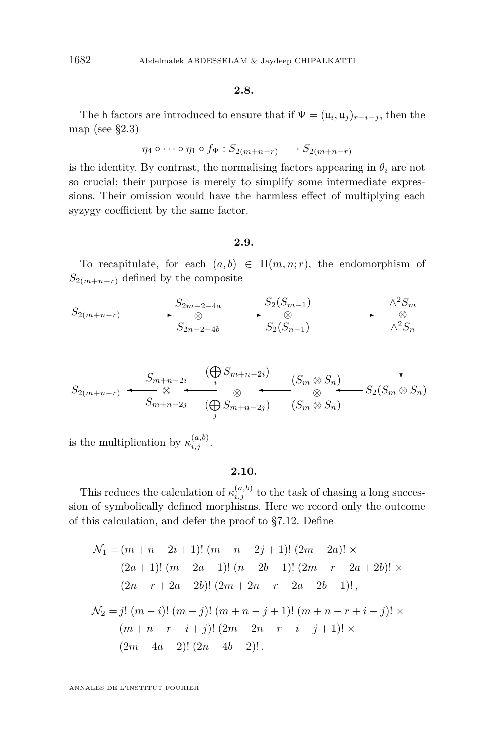#### **2.8.**

The h factors are introduced to ensure that if  $\Psi = (\mathfrak{u}_i, \mathfrak{u}_j)_{r-i-j}$ , then the map (see [§2.3\)](#page-9-0)

$$
\eta_4 \circ \cdots \circ \eta_1 \circ f_{\Psi}: S_{2(m+n-r)} \longrightarrow S_{2(m+n-r)}
$$

is the identity. By contrast, the normalising factors appearing in  $\theta_i$  are not so crucial; their purpose is merely to simplify some intermediate expressions. Their omission would have the harmless effect of multiplying each syzygy coefficient by the same factor.

#### **2.9.**

To recapitulate, for each  $(a, b) \in \Pi(m, n; r)$ , the endomorphism of  $S_{2(m+n-r)}$  defined by the composite

$$
S_{2(m+n-r)} \longrightarrow S_{2m-2-4a} S_{2}(S_{m-1}) \longrightarrow \begin{array}{c} S_{2m-2-4a} S_{2}(S_{m-1}) \longrightarrow \begin{array}{c} \wedge^{2}S_{m} \\ \otimes \\ \wedge^{2}S_{n} \end{array} \\ S_{2n-2-4b} \longrightarrow S_{2}(S_{n-1}) \longrightarrow \begin{array}{c} \wedge^{2}S_{m} \\ \wedge^{2}S_{n} \\ \downarrow \end{array} \\ S_{2(m+n-r)} \longrightarrow S_{m+n-2i} \longrightarrow \begin{array}{c} (\bigoplus_{i} S_{m+n-2i}) \\ \otimes \\ \wedge^{2}S_{m} \end{array} \\ (S_{m} \otimes S_{n}) \longrightarrow S_{2}(S_{m} \otimes S_{n}) \longrightarrow S_{2}(S_{m} \otimes S_{n}) \end{array}
$$

is the multiplication by  $\kappa_{i,j}^{(a,b)}$ .

#### **2.10.**

This reduces the calculation of  $\kappa_{i,j}^{(a,b)}$  to the task of chasing a long succession of symbolically defined morphisms. Here we record only the outcome of this calculation, and defer the proof to [§7.12.](#page-40-0) Define

$$
\mathcal{N}_1 = (m+n-2i+1)! (m+n-2j+1)! (2m-2a)! \times
$$
  
\n
$$
(2a+1)! (m-2a-1)! (n-2b-1)! (2m-r-2a+2b)! \times
$$
  
\n
$$
(2n-r+2a-2b)! (2m+2n-r-2a-2b-1)!,
$$
  
\n
$$
\mathcal{N}_2 = j! (m-i)! (m-j)! (m+n-j+1)! (m+n-r+i-j)! \times
$$
  
\n
$$
(m+n-r-i+j)! (2m+2n-r-i-j+1)! \times
$$

$$
(2m-4a-2)!(2n-4b-2)!
$$
.

<span id="page-12-0"></span>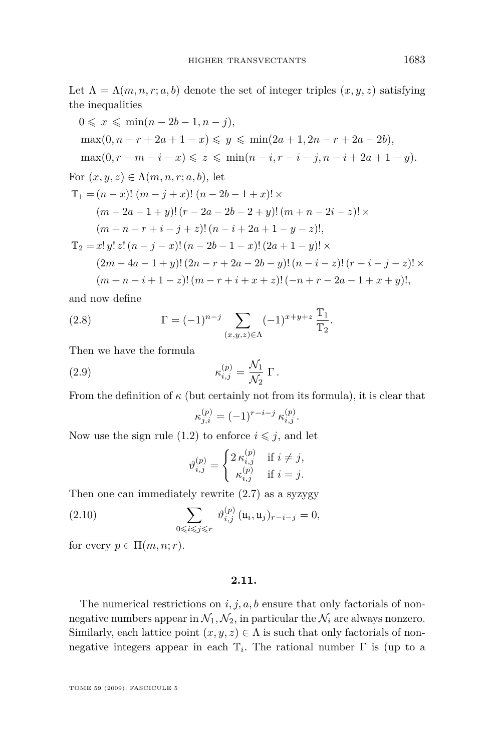<span id="page-13-0"></span>Let  $\Lambda = \Lambda(m, n, r; a, b)$  denote the set of integer triples  $(x, y, z)$  satisfying the inequalities

$$
0 \leq x \leq \min(n - 2b - 1, n - j),
$$
  
\n
$$
\max(0, n - r + 2a + 1 - x) \leq y \leq \min(2a + 1, 2n - r + 2a - 2b),
$$
  
\n
$$
\max(0, r - m - i - x) \leq z \leq \min(n - i, r - i - j, n - i + 2a + 1 - y).
$$
  
\nFor  $(x, y, z) \in \Lambda(m, n, r; a, b)$ , let  
\n
$$
\mathbb{T}_1 = (n - x)!\ (m - j + x)!\ (n - 2b - 1 + x)!\times
$$
  
\n
$$
(m - 2a - 1 + y)!\ (r - 2a - 2b - 2 + y)!\ (m + n - 2i - z)!\times
$$
  
\n
$$
(m + n - r + i - j + z)!\ (n - i + 2a + 1 - y - z)!,
$$
  
\n
$$
\mathbb{T}_2 = x!\, y!\, z!\ (n - j - x)!\ (n - 2b - 1 - x)!\, (2a + 1 - y)!\times
$$
  
\n
$$
(2m - 4a - 1 + y)!\, (2n - r + 2a - 2b - y)!\, (n - i - z)!\, (r - i - j - z)!\times
$$
  
\n
$$
(m + n - i + 1 - z)!\ (m - r + i + x + z)!\,(-n + r - 2a - 1 + x + y)!,
$$

and now define

(2.8) 
$$
\Gamma = (-1)^{n-j} \sum_{(x,y,z) \in \Lambda} (-1)^{x+y+z} \frac{\mathbb{T}_1}{\mathbb{T}_2}.
$$

Then we have the formula

(2.9) 
$$
\kappa_{i,j}^{(p)} = \frac{\mathcal{N}_1}{\mathcal{N}_2} \Gamma.
$$

From the definition of  $\kappa$  (but certainly not from its formula), it is clear that

$$
\kappa_{j,i}^{(p)} = (-1)^{r-i-j} \, \kappa_{i,j}^{(p)}.
$$

Now use the sign rule [\(1.2\)](#page-2-0) to enforce  $i \leq j$ , and let

$$
\vartheta_{i,j}^{(p)} = \begin{cases} 2 \kappa_{i,j}^{(p)} & \text{if } i \neq j, \\ \kappa_{i,j}^{(p)} & \text{if } i = j. \end{cases}
$$

Then one can immediately rewrite [\(2.7\)](#page-10-0) as a syzygy

(2.10) 
$$
\sum_{0 \le i \le j \le r} \vartheta_{i,j}^{(p)} (\mathfrak{u}_i, \mathfrak{u}_j)_{r-i-j} = 0,
$$

for every  $p \in \Pi(m, n; r)$ .

## **2.11.**

The numerical restrictions on  $i, j, a, b$  ensure that only factorials of nonnegative numbers appear in  $\mathcal{N}_1, \mathcal{N}_2$ , in particular the  $\mathcal{N}_i$  are always nonzero. Similarly, each lattice point  $(x, y, z) \in \Lambda$  is such that only factorials of nonnegative integers appear in each  $\mathbb{T}_i$ . The rational number  $\Gamma$  is (up to a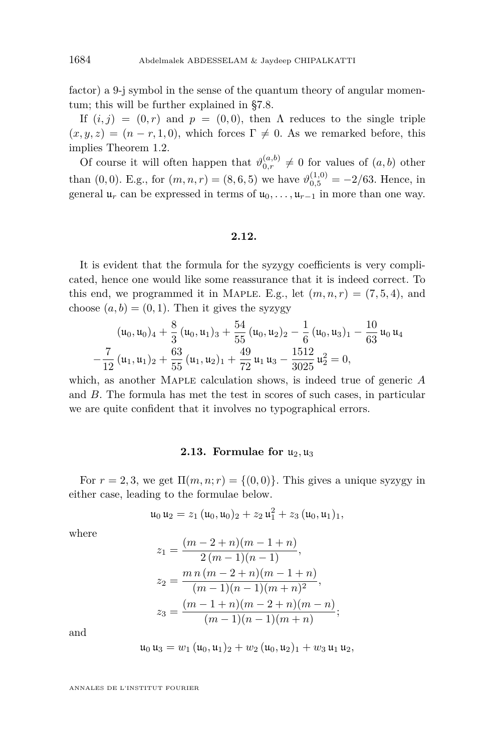factor) a 9-j symbol in the sense of the quantum theory of angular momentum; this will be further explained in [§7.8.](#page-37-0)

If  $(i, j) = (0, r)$  and  $p = (0, 0)$ , then  $\Lambda$  reduces to the single triple  $(x, y, z) = (n - r, 1, 0)$ , which forces  $\Gamma \neq 0$ . As we remarked before, this implies Theorem [1.2.](#page-3-0)

Of course it will often happen that  $\vartheta_{0,r}^{(a,b)} \neq 0$  for values of  $(a,b)$  other than (0,0). E.g., for  $(m, n, r) = (8, 6, 5)$  we have  $\vartheta_{0,5}^{(1,0)} = -2/63$ . Hence, in general  $\mathfrak{u}_r$  can be expressed in terms of  $\mathfrak{u}_0, \ldots, \mathfrak{u}_{r-1}$  in more than one way.

# **2.12.**

It is evident that the formula for the syzygy coefficients is very complicated, hence one would like some reassurance that it is indeed correct. To this end, we programmed it in MAPLE. E.g., let  $(m, n, r) = (7, 5, 4)$ , and choose  $(a, b) = (0, 1)$ . Then it gives the syzygy

$$
(u_0, u_0)_4 + \frac{8}{3} (u_0, u_1)_3 + \frac{54}{55} (u_0, u_2)_2 - \frac{1}{6} (u_0, u_3)_1 - \frac{10}{63} u_0 u_4 -\frac{7}{12} (u_1, u_1)_2 + \frac{63}{55} (u_1, u_2)_1 + \frac{49}{72} u_1 u_3 - \frac{1512}{3025} u_2^2 = 0,
$$

which, as another Maple calculation shows, is indeed true of generic *A* and *B*. The formula has met the test in scores of such cases, in particular we are quite confident that it involves no typographical errors.

#### **2.13. Formulae for**  $u_2, u_3$

For  $r = 2, 3$ , we get  $\Pi(m, n; r) = \{(0, 0)\}\.$  This gives a unique syzygy in either case, leading to the formulae below.

$$
\mathfrak{u}_0 \,\mathfrak{u}_2 = z_1 \, (\mathfrak{u}_0, \mathfrak{u}_0)_2 + z_2 \, \mathfrak{u}_1^2 + z_3 \, (\mathfrak{u}_0, \mathfrak{u}_1)_1,
$$

where

$$
z_1 = \frac{(m-2+n)(m-1+n)}{2(m-1)(n-1)},
$$
  
\n
$$
z_2 = \frac{m n (m-2+n)(m-1+n)}{(m-1)(n-1)(m+n)^2},
$$
  
\n
$$
z_3 = \frac{(m-1+n)(m-2+n)(m-n)}{(m-1)(n-1)(m+n)};
$$

and

$$
\mathfrak{u}_0 \mathfrak{u}_3 = w_1 (\mathfrak{u}_0, \mathfrak{u}_1)_2 + w_2 (\mathfrak{u}_0, \mathfrak{u}_2)_1 + w_3 \mathfrak{u}_1 \mathfrak{u}_2,
$$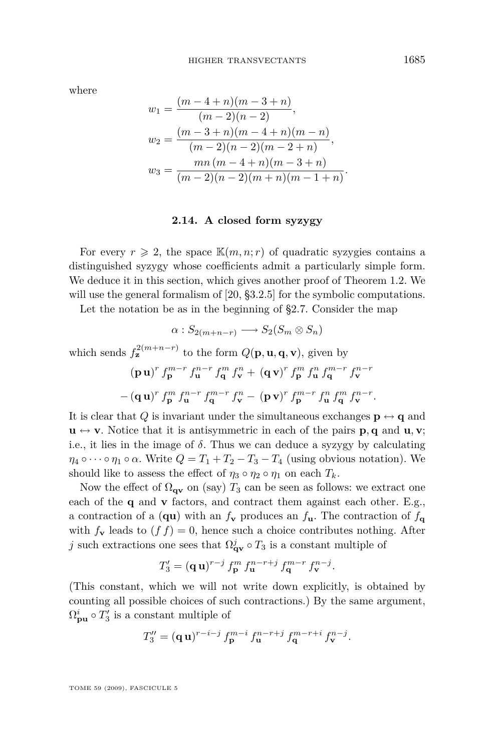where

$$
w_1 = \frac{(m-4+n)(m-3+n)}{(m-2)(n-2)},
$$
  
\n
$$
w_2 = \frac{(m-3+n)(m-4+n)(m-n)}{(m-2)(n-2)(m-2+n)},
$$
  
\n
$$
w_3 = \frac{mn(m-4+n)(m-3+n)}{(m-2)(n-2)(m+n)(m-1+n)}
$$

## **2.14. A closed form syzygy**

For every  $r \geq 2$ , the space  $\mathbb{K}(m, n; r)$  of quadratic syzygies contains a distinguished syzygy whose coefficients admit a particularly simple form. We deduce it in this section, which gives another proof of Theorem [1.2.](#page-3-0) We will use the general formalism of [\[20,](#page-42-0) §3.2.5] for the symbolic computations.

Let the notation be as in the beginning of [§2.7.](#page-11-0) Consider the map

$$
\alpha: S_{2(m+n-r)} \longrightarrow S_2(S_m \otimes S_n)
$$

which sends  $f_{\mathbf{z}}^{2(m+n-r)}$  to the form  $Q(\mathbf{p}, \mathbf{u}, \mathbf{q}, \mathbf{v})$ , given by  $({\bf p}\,{\bf u})^r\,f_{\bf p}^{m-r}\,f_{\bf u}^{n-r}\,f_{\bf q}^m\,f_{\bf v}^n+\,({\bf q}\,{\bf v})^r\,f_{\bf p}^m\,f_{\bf u}^n\,f_{\bf q}^{m-r}\,f_{\bf v}^{n-r}$  $-\left(\mathbf{q}\,\mathbf{u}\right)^{r}f_{\mathbf{p}}^{m}f_{\mathbf{u}}^{n-r}f_{\mathbf{q}}^{m-r}f_{\mathbf{v}}^{n}-\left(\mathbf{p}\,\mathbf{v}\right)^{r}f_{\mathbf{p}}^{m-r}f_{\mathbf{u}}^{n}f_{\mathbf{q}}^{m}f_{\mathbf{v}}^{n-r}.$ 

It is clear that *Q* is invariant under the simultaneous exchanges  $\mathbf{p} \leftrightarrow \mathbf{q}$  and  $\mathbf{u} \leftrightarrow \mathbf{v}$ . Notice that it is antisymmetric in each of the pairs **p**, **q** and **u**, **v**; i.e., it lies in the image of  $\delta$ . Thus we can deduce a syzygy by calculating  $\eta_4 \circ \cdots \circ \eta_1 \circ \alpha$ . Write  $Q = T_1 + T_2 - T_3 - T_4$  (using obvious notation). We should like to assess the effect of  $\eta_3 \circ \eta_2 \circ \eta_1$  on each  $T_k$ .

Now the effect of  $\Omega_{\mathbf{qv}}$  on (say)  $T_3$  can be seen as follows: we extract one each of the **q** and **v** factors, and contract them against each other. E.g., a contraction of a (**qu**) with an  $f_{\mathbf{v}}$  produces an  $f_{\mathbf{u}}$ . The contraction of  $f_{\mathbf{q}}$ with  $f_{\mathbf{v}}$  leads to  $(f f) = 0$ , hence such a choice contributes nothing. After *j* such extractions one sees that  $\Omega_{\mathbf{q}\mathbf{v}}^j \circ T_3$  is a constant multiple of

$$
T_3' = (\mathbf{q} \,\mathbf{u})^{r-j} \, f_{\mathbf{p}}^m \, f_{\mathbf{u}}^{n-r+j} \, f_{\mathbf{q}}^{m-r} \, f_{\mathbf{v}}^{n-j}.
$$

(This constant, which we will not write down explicitly, is obtained by counting all possible choices of such contractions.) By the same argument,  $\Omega_{\mathbf{pu}}^i \circ T_3'$  is a constant multiple of

$$
T_3'' = (\mathbf{q} \,\mathbf{u})^{r-i-j} \, f_{\mathbf{p}}^{m-i} \, f_{\mathbf{u}}^{n-r+j} \, f_{\mathbf{q}}^{m-r+i} \, f_{\mathbf{v}}^{n-j}.
$$

TOME 59 (2009), FASCICULE 5

*.*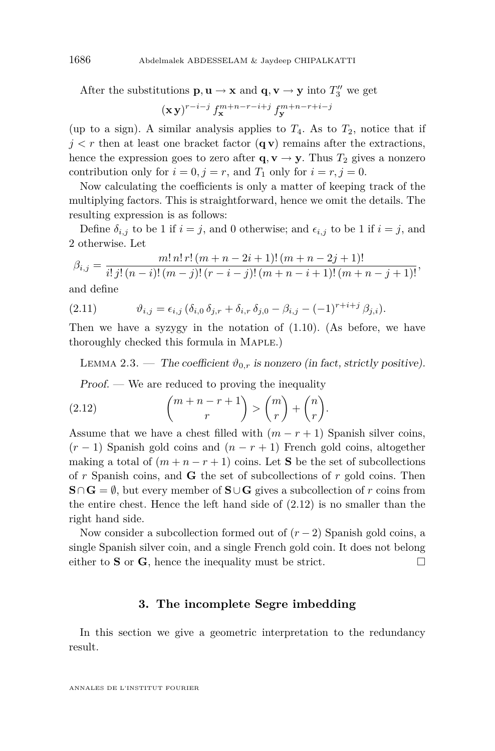After the substitutions  $\mathbf{p}, \mathbf{u} \to \mathbf{x}$  and  $\mathbf{q}, \mathbf{v} \to \mathbf{y}$  into  $T_3''$  we get

$$
(\mathbf{x}\,\mathbf{y})^{r-i-j}\,f^{m+n-r-i+j}_{\mathbf{x}}\,f^{m+n-r+i-j}_{\mathbf{y}}
$$

(up to a sign). A similar analysis applies to  $T_4$ . As to  $T_2$ , notice that if  $j < r$  then at least one bracket factor  $(q v)$  remains after the extractions, hence the expression goes to zero after  $\mathbf{q}, \mathbf{v} \to \mathbf{y}$ . Thus  $T_2$  gives a nonzero contribution only for  $i = 0, j = r$ , and  $T_1$  only for  $i = r, j = 0$ .

Now calculating the coefficients is only a matter of keeping track of the multiplying factors. This is straightforward, hence we omit the details. The resulting expression is as follows:

Define  $\delta_{i,j}$  to be 1 if  $i = j$ , and 0 otherwise; and  $\epsilon_{i,j}$  to be 1 if  $i = j$ , and 2 otherwise. Let

$$
\beta_{i,j} = \frac{m! \, n! \, r! \, (m+n-2i+1)! \, (m+n-2j+1)!}{i! \, j! \, (n-i)! \, (m-j)! \, (r-i-j)! \, (m+n-i+1)! \, (m+n-j+1)!},
$$

and define

(2.11) 
$$
\vartheta_{i,j} = \epsilon_{i,j} \, (\delta_{i,0} \, \delta_{j,r} + \delta_{i,r} \, \delta_{j,0} - \beta_{i,j} - (-1)^{r+i+j} \, \beta_{j,i}).
$$

Then we have a syzygy in the notation of [\(1.10\)](#page-6-0). (As before, we have thoroughly checked this formula in Maple.)

LEMMA 2.3. — The coefficient  $\vartheta_{0,r}$  is nonzero (in fact, strictly positive).

Proof. — We are reduced to proving the inequality

(2.12) 
$$
{m+n-r+1 \choose r} > {m \choose r} + {n \choose r}.
$$

Assume that we have a chest filled with  $(m - r + 1)$  Spanish silver coins,  $(r-1)$  Spanish gold coins and  $(n-r+1)$  French gold coins, altogether making a total of  $(m + n - r + 1)$  coins. Let **S** be the set of subcollections of *r* Spanish coins, and **G** the set of subcollections of *r* gold coins. Then **S**∩**G** =  $\emptyset$ , but every member of **S**∪**G** gives a subcollection of *r* coins from the entire chest. Hence the left hand side of  $(2.12)$  is no smaller than the right hand side.

Now consider a subcollection formed out of (*r −* 2) Spanish gold coins, a single Spanish silver coin, and a single French gold coin. It does not belong either to **S** or **G**, hence the inequality must be strict.  $\square$ 

# **3. The incomplete Segre imbedding**

In this section we give a geometric interpretation to the redundancy result.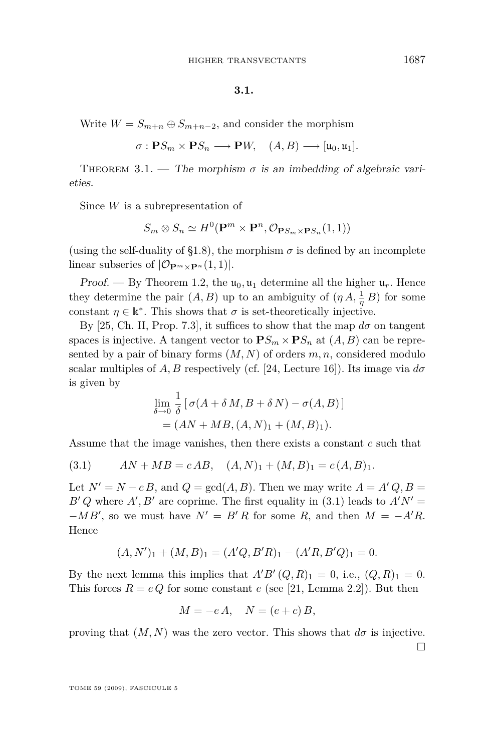#### **3.1.**

<span id="page-17-0"></span>Write  $W = S_{m+n} \oplus S_{m+n-2}$ , and consider the morphism

$$
\sigma: \mathbf{P} S_m \times \mathbf{P} S_n \longrightarrow \mathbf{P} W, \quad (A, B) \longrightarrow [ \mathfrak{u}_0, \mathfrak{u}_1].
$$

THEOREM 3.1. — The morphism  $\sigma$  is an imbedding of algebraic varieties.

Since *W* is a subrepresentation of

$$
S_m \otimes S_n \simeq H^0(\mathbf{P}^m \times \mathbf{P}^n, \mathcal{O}_{\mathbf{P} S_m \times \mathbf{P} S_n}(1,1))
$$

(using the self-duality of [§1.8\)](#page-6-0), the morphism  $\sigma$  is defined by an incomplete linear subseries of  $|\mathcal{O}_{\mathbf{P}^m \times \mathbf{P}^n}(1,1)|$ .

Proof. — By Theorem [1.2,](#page-3-0) the  $\mathfrak{u}_0, \mathfrak{u}_1$  determine all the higher  $\mathfrak{u}_r$ . Hence they determine the pair  $(A, B)$  up to an ambiguity of  $(\eta A, \frac{1}{\eta} B)$  for some constant  $\eta \in \mathbb{R}^*$ . This shows that  $\sigma$  is set-theoretically injective.

By [\[25,](#page-42-0) Ch. II, Prop. 7.3], it suffices to show that the map  $d\sigma$  on tangent spaces is injective. A tangent vector to  $\mathbf{P}S_m \times \mathbf{P}S_n$  at  $(A, B)$  can be represented by a pair of binary forms (*M, N*) of orders *m, n*, considered modulo scalar multiples of *A, B* respectively (cf. [\[24,](#page-42-0) Lecture 16]). Its image via  $d\sigma$ is given by

$$
\lim_{\delta \to 0} \frac{1}{\delta} [\sigma(A + \delta M, B + \delta N) - \sigma(A, B)]
$$
  
=  $(AN + MB, (A, N)_1 + (M, B)_1).$ 

Assume that the image vanishes, then there exists a constant *c* such that

$$
(3.1) \qquad AN + MB = cAB, \quad (A, N)_1 + (M, B)_1 = c(A, B)_1.
$$

Let  $N' = N - cB$ , and  $Q = \gcd(A, B)$ . Then we may write  $A = A'Q, B =$  $B'Q$  where  $A', B'$  are coprime. The first equality in (3.1) leads to  $A'N' =$ *−MB*<sup>*'*</sup>, so we must have  $N' = B'R$  for some *R*, and then  $M = -A'R$ . Hence

$$
(A, N')_1 + (M, B)_1 = (A'Q, B'R)_1 - (A'R, B'Q)_1 = 0.
$$

By the next lemma this implies that  $A'B'(Q, R)_1 = 0$ , i.e.,  $(Q, R)_1 = 0$ . This forces  $R = eQ$  for some constant  $e$  (see [\[21,](#page-42-0) Lemma 2.2]). But then

$$
M = -eA, \quad N = (e+c)B,
$$

proving that  $(M, N)$  was the zero vector. This shows that  $d\sigma$  is injective.  $\Box$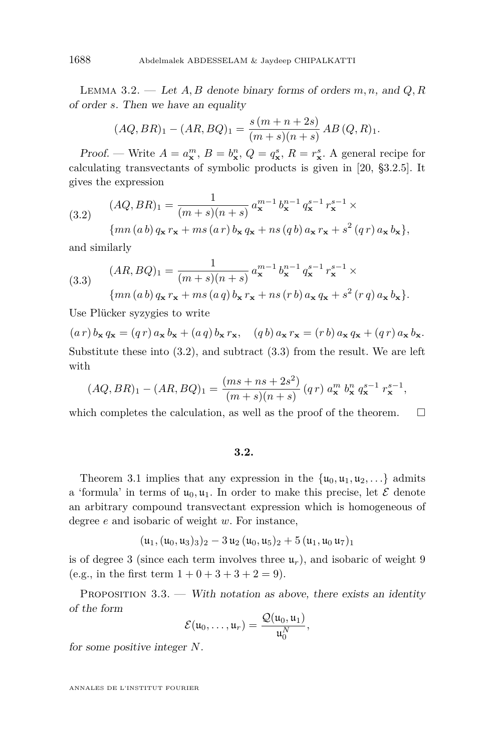Lemma 3.2. — Let *A, B* denote binary forms of orders *m, n*, and *Q, R* of order *s*. Then we have an equality

$$
(AQ, BR)_1 - (AR, BQ)_1 = \frac{s(m+n+2s)}{(m+s)(n+s)} AB (Q, R)_1.
$$

Proof. — Write  $A = a_{\mathbf{x}}^m$ ,  $B = b_{\mathbf{x}}^n$ ,  $Q = q_{\mathbf{x}}^s$ ,  $R = r_{\mathbf{x}}^s$ . A general recipe for calculating transvectants of symbolic products is given in [\[20,](#page-42-0) §3.2.5]. It gives the expression

(3.2) 
$$
(AQ, BR)_1 = \frac{1}{(m+s)(n+s)} a_{\mathbf{x}}^{m-1} b_{\mathbf{x}}^{n-1} q_{\mathbf{x}}^{s-1} r_{\mathbf{x}}^{s-1} \times
$$

$$
\{mn(a b) q_{\mathbf{x}} r_{\mathbf{x}} + ms(a r) b_{\mathbf{x}} q_{\mathbf{x}} + ns(q b) a_{\mathbf{x}} r_{\mathbf{x}} + s^2 (q r) a_{\mathbf{x}} b_{\mathbf{x}}\},
$$

and similarly

(3.3) 
$$
(AR, BQ)_1 = \frac{1}{(m+s)(n+s)} a_{\mathbf{x}}^{m-1} b_{\mathbf{x}}^{n-1} q_{\mathbf{x}}^{s-1} r_{\mathbf{x}}^{s-1} \times
$$

$$
\{mn(a b) q_{\mathbf{x}} r_{\mathbf{x}} + ms(a q) b_{\mathbf{x}} r_{\mathbf{x}} + ns(r b) a_{\mathbf{x}} q_{\mathbf{x}} + s^2(r q) a_{\mathbf{x}} b_{\mathbf{x}}\}.
$$

Use Plücker syzygies to write

 $(a r) b_{\mathbf{x}} q_{\mathbf{x}} = (q r) a_{\mathbf{x}} b_{\mathbf{x}} + (a q) b_{\mathbf{x}} r_{\mathbf{x}}, \quad (q b) a_{\mathbf{x}} r_{\mathbf{x}} = (r b) a_{\mathbf{x}} q_{\mathbf{x}} + (q r) a_{\mathbf{x}} b_{\mathbf{x}}.$ Substitute these into (3.2), and subtract (3.3) from the result. We are left with

$$
(AQ, BR)_1 - (AR, BQ)_1 = \frac{(ms + ns + 2s^2)}{(m + s)(n + s)} (qr) a_{\mathbf{x}}^m b_{\mathbf{x}}^n q_{\mathbf{x}}^{s-1} r_{\mathbf{x}}^{s-1},
$$

which completes the calculation, as well as the proof of the theorem.  $\Box$ 

#### **3.2.**

Theorem [3.1](#page-17-0) implies that any expression in the  $\{u_0, u_1, u_2, \ldots\}$  admits a 'formula' in terms of  $u_0, u_1$ . In order to make this precise, let  $\mathcal E$  denote an arbitrary compound transvectant expression which is homogeneous of degree *e* and isobaric of weight *w*. For instance,

$$
(\mathfrak{u}_1,(\mathfrak{u}_0,\mathfrak{u}_3)_3)_2-3\,\mathfrak{u}_2\,(\mathfrak{u}_0,\mathfrak{u}_5)_2+5\,(\mathfrak{u}_1,\mathfrak{u}_0\,\mathfrak{u}_7)_1
$$

is of degree 3 (since each term involves three  $\mathfrak{u}_r$ ), and isobaric of weight 9 (e.g., in the first term  $1 + 0 + 3 + 3 + 2 = 9$ ).

PROPOSITION  $3.3.$  — With notation as above, there exists an identity of the form

$$
\mathcal{E}(u_0,\ldots,u_r)=\frac{\mathcal{Q}(u_0,u_1)}{u_0^N},
$$

for some positive integer *N*.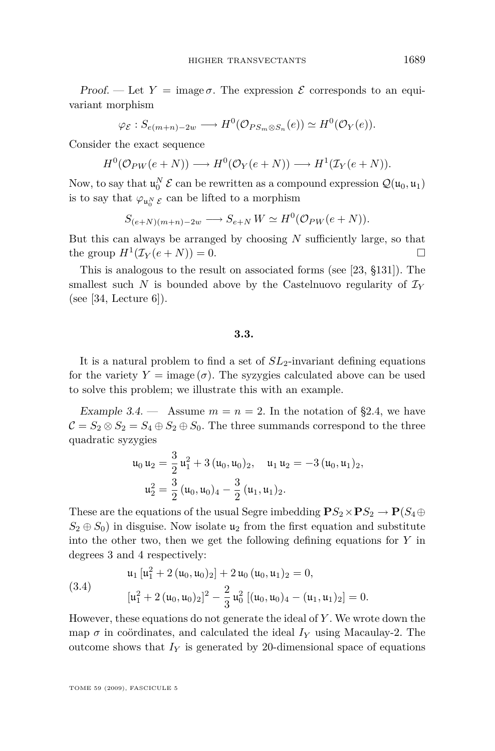<span id="page-19-0"></span>Proof. — Let  $Y = \text{image } \sigma$ . The expression  $\mathcal E$  corresponds to an equivariant morphism

 $\varphi \varepsilon : S_{e(m+n)-2w} \longrightarrow H^0(\mathcal{O}_{PS_m \otimes S_n}(e)) \simeq H^0(\mathcal{O}_Y(e)).$ 

Consider the exact sequence

 $H^0(\mathcal{O}_{PW}(e+N)) \longrightarrow H^0(\mathcal{O}_Y(e+N)) \longrightarrow H^1(\mathcal{I}_Y(e+N)).$ 

Now, to say that  $\mathfrak{u}_0^N \mathcal{E}$  can be rewritten as a compound expression  $\mathcal{Q}(\mathfrak{u}_0, \mathfrak{u}_1)$ is to say that  $\varphi_{\mathfrak{u}_0^N}$   $_{\mathcal{E}}$  can be lifted to a morphism

$$
S_{(e+N)(m+n)-2w} \longrightarrow S_{e+N} \, W \simeq H^0(\mathcal{O}_{PW}(e+N)).
$$

But this can always be arranged by choosing *N* sufficiently large, so that the group  $H^1(\mathcal{I}_Y(e+N))=0.$ 

This is analogous to the result on associated forms (see [\[23,](#page-42-0) §131]). The smallest such *N* is bounded above by the Castelnuovo regularity of  $\mathcal{I}_Y$ (see [\[34,](#page-43-0) Lecture  $6$ ]).

#### **3.3.**

It is a natural problem to find a set of  $SL_2$ -invariant defining equations for the variety  $Y = \text{image}(\sigma)$ . The syzygies calculated above can be used to solve this problem; we illustrate this with an example.

Example 3.4.  $\longrightarrow$  Assume  $m = n = 2$ . In the notation of [§2.4,](#page-9-0) we have  $C = S_2 \otimes S_2 = S_4 \oplus S_2 \oplus S_0$ . The three summands correspond to the three quadratic syzygies

$$
\begin{aligned} \mathfrak{u}_0 \, \mathfrak{u}_2 & = \frac{3}{2} \, \mathfrak{u}_1^2 + 3 \, (\mathfrak{u}_0, \mathfrak{u}_0)_2, \quad \mathfrak{u}_1 \, \mathfrak{u}_2 = -3 \, (\mathfrak{u}_0, \mathfrak{u}_1)_2, \\ \mathfrak{u}_2^2 & = \frac{3}{2} \, (\mathfrak{u}_0, \mathfrak{u}_0)_4 - \frac{3}{2} \, (\mathfrak{u}_1, \mathfrak{u}_1)_2. \end{aligned}
$$

These are the equations of the usual Segre imbedding  $\mathbf{P}S_2 \times \mathbf{P}S_2 \rightarrow \mathbf{P}(S_4 \oplus \mathbf{P}(S_4))$  $S_2 \oplus S_0$  in disguise. Now isolate  $u_2$  from the first equation and substitute into the other two, then we get the following defining equations for *Y* in degrees 3 and 4 respectively:

(3.4)  

$$
\begin{aligned}\n\mathfrak{u}_1 \left[ \mathfrak{u}_1^2 + 2 \left( \mathfrak{u}_0, \mathfrak{u}_0 \right)_2 \right] + 2 \mathfrak{u}_0 \left( \mathfrak{u}_0, \mathfrak{u}_1 \right)_2 = 0, \\
\left[ \mathfrak{u}_1^2 + 2 \left( \mathfrak{u}_0, \mathfrak{u}_0 \right)_2 \right]^2 - \frac{2}{3} \mathfrak{u}_0^2 \left[ \left( \mathfrak{u}_0, \mathfrak{u}_0 \right)_4 - \left( \mathfrak{u}_1, \mathfrak{u}_1 \right)_2 \right] = 0.\n\end{aligned}
$$

However, these equations do not generate the ideal of *Y* . We wrote down the map  $\sigma$  in coördinates, and calculated the ideal  $I_Y$  using Macaulay-2. The outcome shows that  $I_Y$  is generated by 20-dimensional space of equations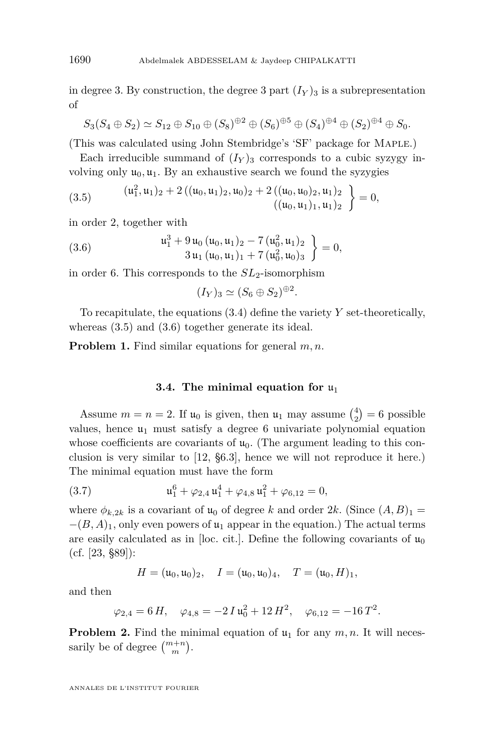in degree 3. By construction, the degree 3 part  $(I_Y)_3$  is a subrepresentation of

$$
S_3(S_4 \oplus S_2) \simeq S_{12} \oplus S_{10} \oplus (S_8)^{\oplus 2} \oplus (S_6)^{\oplus 5} \oplus (S_4)^{\oplus 4} \oplus (S_2)^{\oplus 4} \oplus S_0.
$$

(This was calculated using John Stembridge's 'SF' package for Maple.)

Each irreducible summand of  $(I_Y)_3$  corresponds to a cubic syzygy involving only  $\mathfrak{u}_0, \mathfrak{u}_1$ . By an exhaustive search we found the syzygies

(3.5) 
$$
\begin{aligned} (u_1^2, u_1)_2 + 2\left( (u_0, u_1)_2, u_0 \right)_2 + 2\left( (u_0, u_0)_2, u_1 \right)_2 \\ (u_0, u_1)_1, u_1)_2 \end{aligned} = 0,
$$

in order 2, together with

(3.6) 
$$
\begin{aligned}\n u_1^3 + 9 u_0 (u_0, u_1)_2 - 7 (u_0^2, u_1)_2 \\
 &\quad 3 u_1 (u_0, u_1)_1 + 7 (u_0^2, u_0)_3\n \end{aligned}\n \bigg\} = 0,
$$

in order 6. This corresponds to the *SL*2-isomorphism

$$
(I_Y)_3 \simeq (S_6 \oplus S_2)^{\oplus 2}
$$

*.*

To recapitulate, the equations [\(3.4\)](#page-19-0) define the variety *Y* set-theoretically, whereas (3.5) and (3.6) together generate its ideal.

**Problem 1.** Find similar equations for general *m, n*.

#### **3.4.** The minimal equation for  $u_1$

Assume  $m = n = 2$ . If  $\mathfrak{u}_0$  is given, then  $\mathfrak{u}_1$  may assume  $\binom{4}{2} = 6$  possible values, hence  $\mathfrak{u}_1$  must satisfy a degree 6 univariate polynomial equation whose coefficients are covariants of  $u_0$ . (The argument leading to this conclusion is very similar to [\[12,](#page-42-0) §6.3], hence we will not reproduce it here.) The minimal equation must have the form

(3.7) 
$$
\mathfrak{u}_1^6 + \varphi_{2,4} \mathfrak{u}_1^4 + \varphi_{4,8} \mathfrak{u}_1^2 + \varphi_{6,12} = 0,
$$

where  $\phi_{k,2k}$  is a covariant of  $\mathfrak{u}_0$  of degree *k* and order 2*k*. (Since  $(A, B)_1$  =  $-(B, A)<sub>1</sub>$ , only even powers of  $\mathfrak{u}<sub>1</sub>$  appear in the equation.) The actual terms are easily calculated as in [loc. cit.]. Define the following covariants of  $\mathfrak{u}_0$ (cf. [\[23,](#page-42-0) §89]):

$$
H = (\mathfrak{u}_0, \mathfrak{u}_0)_2, \quad I = (\mathfrak{u}_0, \mathfrak{u}_0)_4, \quad T = (\mathfrak{u}_0, H)_1,
$$

and then

$$
\varphi_{2,4} = 6 H, \quad \varphi_{4,8} = -2 I u_0^2 + 12 H^2, \quad \varphi_{6,12} = -16 T^2.
$$

**Problem 2.** Find the minimal equation of  $u_1$  for any  $m, n$ . It will necessarily be of degree  $\binom{m+n}{m}$ .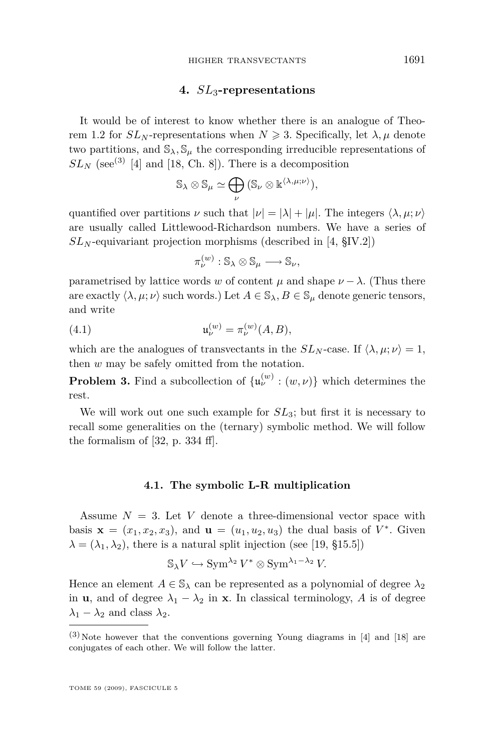# **4.** *SL*3**-representations**

<span id="page-21-0"></span>It would be of interest to know whether there is an analogue of Theo-rem [1.2](#page-3-0) for  $SL_N$ -representations when  $N \geq 3$ . Specifically, let  $\lambda, \mu$  denote two partitions, and  $\mathcal{S}_{\lambda}$ ,  $\mathcal{S}_{\mu}$  the corresponding irreducible representations of  $SL_N$  (see<sup>(3)</sup> [\[4\]](#page-42-0) and [\[18,](#page-42-0) Ch. 8]). There is a decomposition

$$
\mathbb{S}_{\lambda} \otimes \mathbb{S}_{\mu} \simeq \bigoplus_{\nu} (\mathbb{S}_{\nu} \otimes \mathbb{k}^{\langle \lambda, \mu; \nu \rangle}),
$$

quantified over partitions *ν* such that  $|\nu| = |\lambda| + |\mu|$ . The integers  $\langle \lambda, \mu; \nu \rangle$ are usually called Littlewood-Richardson numbers. We have a series of  $SL_N$ -equivariant projection morphisms (described in [\[4,](#page-42-0)  $\S$ IV.2])

$$
\pi_{\nu}^{(w)}:\mathbb{S}_{\lambda}\otimes\mathbb{S}_{\mu}\longrightarrow\mathbb{S}_{\nu},
$$

parametrised by lattice words *w* of content  $\mu$  and shape  $\nu - \lambda$ . (Thus there are exactly  $\langle \lambda, \mu; \nu \rangle$  such words.) Let  $A \in \mathbb{S}_{\lambda}, B \in \mathbb{S}_{\mu}$  denote generic tensors, and write

(4.1) 
$$
\mathfrak{u}^{(w)}_{\nu} = \pi_{\nu}^{(w)}(A, B),
$$

which are the analogues of transvectants in the  $SL_N$ -case. If  $\langle \lambda, \mu; \nu \rangle = 1$ , then *w* may be safely omitted from the notation.

**Problem 3.** Find a subcollection of  $\{\mathfrak{u}_{\nu}^{(w)} : (w, \nu)\}\$  which determines the rest.

We will work out one such example for *SL*3; but first it is necessary to recall some generalities on the (ternary) symbolic method. We will follow the formalism of [\[32,](#page-43-0) p. 334 ff].

# **4.1. The symbolic L-R multiplication**

Assume  $N = 3$ . Let V denote a three-dimensional vector space with basis  $\mathbf{x} = (x_1, x_2, x_3)$ , and  $\mathbf{u} = (u_1, u_2, u_3)$  the dual basis of  $V^*$ . Given  $\lambda = (\lambda_1, \lambda_2)$ , there is a natural split injection (see [\[19,](#page-42-0) §15.5])

$$
\mathbb{S}_{\lambda}V \hookrightarrow \operatorname{Sym}^{\lambda_2}V^* \otimes \operatorname{Sym}^{\lambda_1 - \lambda_2}V.
$$

Hence an element  $A \in \mathbb{S}_{\lambda}$  can be represented as a polynomial of degree  $\lambda_2$ in **u**, and of degree  $\lambda_1 - \lambda_2$  in **x**. In classical terminology, *A* is of degree  $λ_1 − λ_2$  and class  $λ_2$ .

 $(3)$ Note however that the conventions governing Young diagrams in [\[4\]](#page-42-0) and [\[18\]](#page-42-0) are conjugates of each other. We will follow the latter.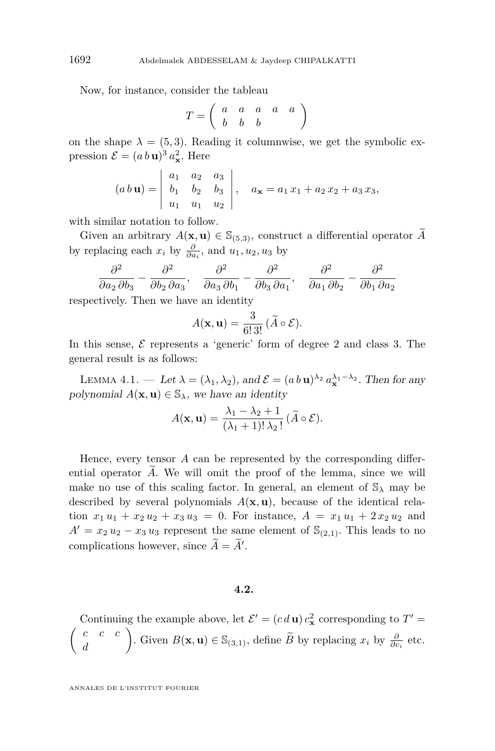Now, for instance, consider the tableau

$$
T = \left(\begin{array}{cccc} a & a & a & a & a \\ b & b & b & \end{array}\right)
$$

on the shape  $\lambda = (5, 3)$ . Reading it columnwise, we get the symbolic expression  $\mathcal{E} = (a b \mathbf{u})^3 a_{\mathbf{x}}^2$ . Here

$$
(a\,b\,\mathbf{u}) = \begin{vmatrix} a_1 & a_2 & a_3 \\ b_1 & b_2 & b_3 \\ u_1 & u_1 & u_2 \end{vmatrix}, \quad a_{\mathbf{x}} = a_1\,x_1 + a_2\,x_2 + a_3\,x_3,
$$

with similar notation to follow.

Given an arbitrary  $A(\mathbf{x}, \mathbf{u}) \in \mathbb{S}_{(5,3)}$ , construct a differential operator  $\widetilde{A}$ by replacing each  $x_i$  by  $\frac{\partial}{\partial a_i}$ , and  $u_1, u_2, u_3$  by

$$
\frac{\partial^2}{\partial a_2 \partial b_3} - \frac{\partial^2}{\partial b_2 \partial a_3}, \quad \frac{\partial^2}{\partial a_3 \partial b_1} - \frac{\partial^2}{\partial b_3 \partial a_1}, \quad \frac{\partial^2}{\partial a_1 \partial b_2} - \frac{\partial^2}{\partial b_1 \partial a_2}
$$

respectively. Then we have an identity

$$
A(\mathbf{x}, \mathbf{u}) = \frac{3}{6! \, 3!} \, (\widetilde{A} \circ \mathcal{E}).
$$

In this sense,  $\mathcal E$  represents a 'generic' form of degree 2 and class 3. The general result is as follows:

LEMMA 4.1. — Let  $\lambda = (\lambda_1, \lambda_2)$ , and  $\mathcal{E} = (a b \mathbf{u})^{\lambda_2} a_{\mathbf{x}}^{\lambda_1 - \lambda_2}$ . Then for any polynomial  $A(\mathbf{x}, \mathbf{u}) \in \mathbb{S}_{\lambda}$ , we have an identity

$$
A(\mathbf{x}, \mathbf{u}) = \frac{\lambda_1 - \lambda_2 + 1}{(\lambda_1 + 1)!\lambda_2!} (\widetilde{A} \circ \mathcal{E}).
$$

Hence, every tensor *A* can be represented by the corresponding differential operator  $A$ . We will omit the proof of the lemma, since we will make no use of this scaling factor. In general, an element of  $\mathcal{S}_{\lambda}$  may be described by several polynomials  $A(\mathbf{x}, \mathbf{u})$ , because of the identical relation  $x_1 u_1 + x_2 u_2 + x_3 u_3 = 0$ . For instance,  $A = x_1 u_1 + 2 x_2 u_2$  and  $A' = x_2 u_2 - x_3 u_3$  represent the same element of  $\mathbb{S}_{(2,1)}$ . This leads to no complications however, since  $\ddot{A} = \ddot{A}'$ .

#### **4.2.**

Continuing the example above, let  $\mathcal{E}' = (c \, d \mathbf{u}) c_{\mathbf{x}}^2$  corresponding to  $T' =$  *c c c d* . Given  $B(\mathbf{x}, \mathbf{u}) \in \mathbb{S}_{(3,1)}$ , define  $\widetilde{B}$  by replacing  $x_i$  by  $\frac{\partial}{\partial c_i}$  etc.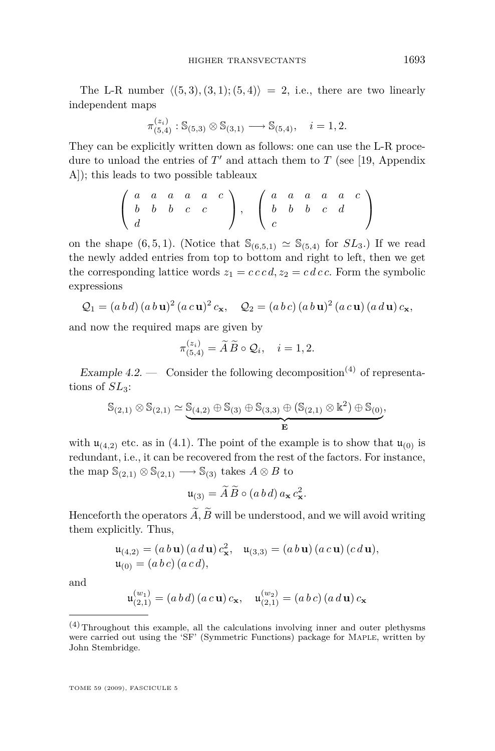The L-R number  $\langle (5,3), (3,1); (5,4) \rangle = 2$ , i.e., there are two linearly independent maps

$$
\pi_{(5,4)}^{(z_i)} : \mathbb{S}_{(5,3)} \otimes \mathbb{S}_{(3,1)} \longrightarrow \mathbb{S}_{(5,4)}, \quad i = 1,2.
$$

They can be explicitly written down as follows: one can use the L-R procedure to unload the entries of  $T'$  and attach them to  $T$  (see [\[19,](#page-42-0) Appendix A]); this leads to two possible tableaux

$$
\left(\begin{array}{cccccc} a & a & a & a & c \\ b & b & b & c & c \\ d & & & & \end{array}\right), \quad \left(\begin{array}{cccccc} a & a & a & a & a & c \\ b & b & b & c & d & \\ c & & & & \end{array}\right)
$$

on the shape  $(6, 5, 1)$ . (Notice that  $\mathcal{S}_{(6,5,1)} \simeq \mathcal{S}_{(5,4)}$  for  $SL_3$ .) If we read the newly added entries from top to bottom and right to left, then we get the corresponding lattice words  $z_1 = c \, c \, c \, d$ ,  $z_2 = c \, d \, c \, c$ . Form the symbolic expressions

$$
Q_1 = (a b d) (a b u)^2 (a c u)^2 c_x, \quad Q_2 = (a b c) (a b u)^2 (a c u) (a d u) c_x,
$$

and now the required maps are given by

$$
\pi_{(5,4)}^{(z_i)} = \widetilde{A}\,\widetilde{B} \circ \mathcal{Q}_i, \quad i = 1,2.
$$

Example  $4.2.$  — Consider the following decomposition<sup>(4)</sup> of representations of  $SL<sub>3</sub>$ :

$$
\mathbb{S}_{(2,1)}\otimes \mathbb{S}_{(2,1)}\simeq \underbrace{\mathbb{S}_{(4,2)}\oplus \mathbb{S}_{(3)}\oplus \mathbb{S}_{(3,3)}\oplus (\mathbb{S}_{(2,1)}\otimes \Bbbk^2)\oplus \mathbb{S}_{(0)}}_{\mathbf{E}},
$$

with  $\mathfrak{u}_{(4,2)}$  etc. as in [\(4.1\)](#page-21-0). The point of the example is to show that  $\mathfrak{u}_{(0)}$  is redundant, i.e., it can be recovered from the rest of the factors. For instance, the map  $\mathbb{S}_{(2,1)} \otimes \mathbb{S}_{(2,1)} \longrightarrow \mathbb{S}_{(3)}$  takes  $A \otimes B$  to

$$
\mathfrak{u}_{(3)} = \widetilde{A} \,\widetilde{B} \circ (a\,b\,d) \, a_{\mathbf{x}} \, c_{\mathbf{x}}^2.
$$

Henceforth the operators  $\widetilde{A}$ ,  $\widetilde{B}$  will be understood, and we will avoid writing them explicitly. Thus,

$$
\mathfrak{u}_{(4,2)} = (a b \mathbf{u}) (a d \mathbf{u}) c_{\mathbf{x}}^2, \quad \mathfrak{u}_{(3,3)} = (a b \mathbf{u}) (a c \mathbf{u}) (c d \mathbf{u}),
$$
  

$$
\mathfrak{u}_{(0)} = (a b c) (a c d),
$$

and

$$
\mathfrak{u}_{(2,1)}^{(w_1)} = (a\,b\,d)\,(a\,c\,\mathbf{u})\,c_{\mathbf{x}},\quad \mathfrak{u}_{(2,1)}^{(w_2)} = (a\,b\,c)\,(a\,d\,\mathbf{u})\,c_{\mathbf{x}}
$$

 $(4)$  Throughout this example, all the calculations involving inner and outer plethysms were carried out using the 'SF' (Symmetric Functions) package for Maple, written by John Stembridge.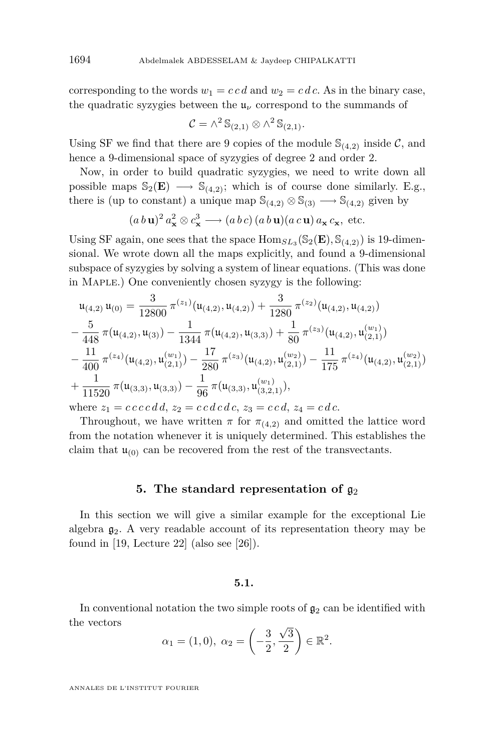<span id="page-24-0"></span>corresponding to the words  $w_1 = c c d$  and  $w_2 = c d c$ . As in the binary case, the quadratic syzygies between the  $\mathfrak{u}_{\nu}$  correspond to the summands of

$$
\mathcal{C} = \wedge^2 \mathbb{S}_{(2,1)} \otimes \wedge^2 \mathbb{S}_{(2,1)}.
$$

Using SF we find that there are 9 copies of the module  $\mathcal{S}_{(4,2)}$  inside  $\mathcal{C}$ , and hence a 9-dimensional space of syzygies of degree 2 and order 2.

Now, in order to build quadratic syzygies, we need to write down all possible maps  $\mathbb{S}_2(\mathbf{E}) \longrightarrow \mathbb{S}_{(4,2)}$ ; which is of course done similarly. E.g., there is (up to constant) a unique map  $\mathbb{S}_{(4,2)} \otimes \mathbb{S}_{(3)} \longrightarrow \mathbb{S}_{(4,2)}$  given by

$$
(a\,b\,\mathbf{u})^2\,a_\mathbf{x}^2 \otimes c_\mathbf{x}^3 \longrightarrow (a\,b\,c)\,(a\,b\,\mathbf{u})(a\,c\,\mathbf{u})\,a_\mathbf{x}\,c_\mathbf{x},\text{ etc.}
$$

Using SF again, one sees that the space  $\text{Hom}_{SL_3}(\mathbb{S}_2(\mathbf{E}), \mathbb{S}_{(4,2)})$  is 19-dimensional. We wrote down all the maps explicitly, and found a 9-dimensional subspace of syzygies by solving a system of linear equations. (This was done in Maple.) One conveniently chosen syzygy is the following:

$$
\begin{split} &\mathfrak{u}_{(4,2)}\,\mathfrak{u}_{(0)} = \frac{3}{12800}\,\pi^{(z_1)}(\mathfrak{u}_{(4,2)},\mathfrak{u}_{(4,2)}) + \frac{3}{1280}\,\pi^{(z_2)}(\mathfrak{u}_{(4,2)},\mathfrak{u}_{(4,2)}) \\ &- \frac{5}{448}\,\pi(\mathfrak{u}_{(4,2)},\mathfrak{u}_{(3)}) - \frac{1}{1344}\,\pi(\mathfrak{u}_{(4,2)},\mathfrak{u}_{(3,3)}) + \frac{1}{80}\,\pi^{(z_3)}(\mathfrak{u}_{(4,2)},\mathfrak{u}_{(2,1)}^{(w_1)}) \\ &- \frac{11}{400}\,\pi^{(z_4)}(\mathfrak{u}_{(4,2)},\mathfrak{u}_{(2,1)}^{(w_1)}) - \frac{17}{280}\,\pi^{(z_3)}(\mathfrak{u}_{(4,2)},\mathfrak{u}_{(2,1)}^{(w_2)}) - \frac{11}{175}\,\pi^{(z_4)}(\mathfrak{u}_{(4,2)},\mathfrak{u}_{(2,1)}^{(w_2)}) \\ &+ \frac{1}{11520}\,\pi(\mathfrak{u}_{(3,3)},\mathfrak{u}_{(3,3)}) - \frac{1}{96}\,\pi(\mathfrak{u}_{(3,3)},\mathfrak{u}_{(3,2,1)}^{(w_1)}), \end{split}
$$

where  $z_1 = c \, c \, c \, c \, d \, d$ ,  $z_2 = c \, c \, d \, c \, d \, c$ ,  $z_3 = c \, c \, d$ ,  $z_4 = c \, d \, c$ .

Throughout, we have written  $\pi$  for  $\pi_{(4,2)}$  and omitted the lattice word from the notation whenever it is uniquely determined. This establishes the claim that  $\mathfrak{u}_{(0)}$  can be recovered from the rest of the transvectants.

#### **5.** The standard representation of  $q_2$

In this section we will give a similar example for the exceptional Lie algebra  $g_2$ . A very readable account of its representation theory may be found in [\[19,](#page-42-0) Lecture 22] (also see [\[26\]](#page-42-0)).

## **5.1.**

In conventional notation the two simple roots of  $\mathfrak{g}_2$  can be identified with the vectors *√*

$$
\alpha_1 = (1,0), \ \alpha_2 = \left(-\frac{3}{2}, \frac{\sqrt{3}}{2}\right) \in \mathbb{R}^2.
$$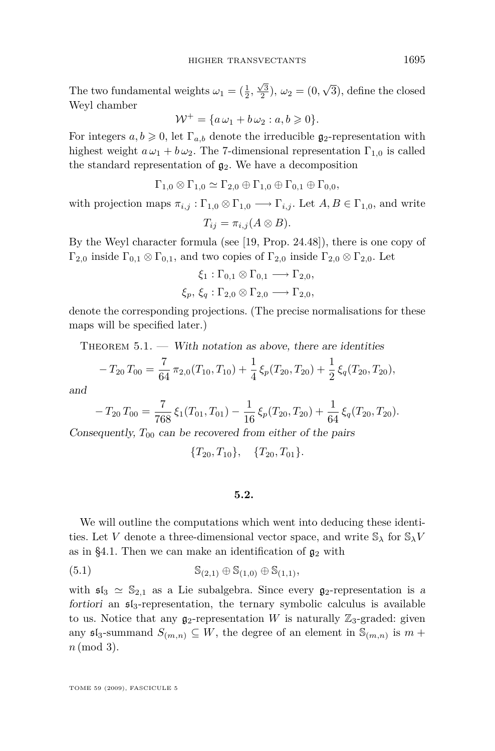<span id="page-25-0"></span>The two fundamental weights  $\omega_1 = (\frac{1}{2}, \frac{\sqrt{3}}{2}), \omega_2 = (0,$ *√* 3), define the closed Weyl chamber

$$
\mathcal{W}^+ = \{a\,\omega_1 + b\,\omega_2 : a, b \geqslant 0\}.
$$

For integers  $a, b \geq 0$ , let  $\Gamma_{a,b}$  denote the irreducible  $\mathfrak{g}_2$ -representation with highest weight  $a\omega_1 + b\omega_2$ . The 7-dimensional representation  $\Gamma_{1,0}$  is called the standard representation of  $g_2$ . We have a decomposition

$$
\Gamma_{1,0}\otimes\Gamma_{1,0}\simeq\Gamma_{2,0}\oplus\Gamma_{1,0}\oplus\Gamma_{0,1}\oplus\Gamma_{0,0},
$$

with projection maps  $\pi_{i,j}: \Gamma_{1,0} \otimes \Gamma_{1,0} \longrightarrow \Gamma_{i,j}$ . Let  $A, B \in \Gamma_{1,0}$ , and write

 $T_{ij} = \pi_{i,j} (A \otimes B)$ .

By the Weyl character formula (see [\[19,](#page-42-0) Prop. 24.48]), there is one copy of  $\Gamma_{2,0}$  inside  $\Gamma_{0,1} \otimes \Gamma_{0,1}$ , and two copies of  $\Gamma_{2,0}$  inside  $\Gamma_{2,0} \otimes \Gamma_{2,0}$ . Let

$$
\xi_1 : \Gamma_{0,1} \otimes \Gamma_{0,1} \longrightarrow \Gamma_{2,0},
$$
  

$$
\xi_p, \xi_q : \Gamma_{2,0} \otimes \Gamma_{2,0} \longrightarrow \Gamma_{2,0},
$$

denote the corresponding projections. (The precise normalisations for these maps will be specified later.)

THEOREM  $5.1.$  — With notation as above, there are identities

$$
-T_{20}T_{00} = \frac{7}{64}\pi_{2,0}(T_{10},T_{10}) + \frac{1}{4}\xi_p(T_{20},T_{20}) + \frac{1}{2}\xi_q(T_{20},T_{20}),
$$

and

$$
-T_{20}T_{00}=\frac{7}{768}\xi_1(T_{01},T_{01})-\frac{1}{16}\xi_p(T_{20},T_{20})+\frac{1}{64}\xi_q(T_{20},T_{20}).
$$

Consequently,  $T_{00}$  can be recovered from either of the pairs

$$
{T_{20}, T_{10}}, \quad {T_{20}, T_{01}}.
$$

#### **5.2.**

We will outline the computations which went into deducing these identities. Let *V* denote a three-dimensional vector space, and write  $\mathbb{S}_{\lambda}$  for  $\mathbb{S}_{\lambda}V$ as in [§4.1.](#page-21-0) Then we can make an identification of  $\mathfrak{g}_2$  with

(5.1) 
$$
S_{(2,1)} \oplus S_{(1,0)} \oplus S_{(1,1)},
$$

with  $\mathfrak{sl}_3 \simeq \mathbb{S}_{2,1}$  as a Lie subalgebra. Since every  $\mathfrak{g}_2$ -representation is a fortiori an  $\mathfrak{sl}_3$ -representation, the ternary symbolic calculus is available to us. Notice that any  $g_2$ -representation *W* is naturally  $\mathbb{Z}_3$ -graded: given any  $\mathfrak{sl}_3$ -summand  $S_{(m,n)} \subseteq W$ , the degree of an element in  $\mathbb{S}_{(m,n)}$  is  $m +$ *n* (mod 3).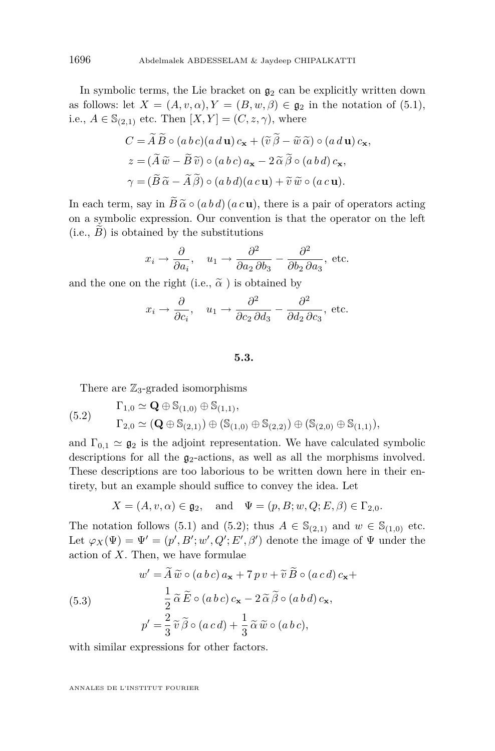In symbolic terms, the Lie bracket on  $g_2$  can be explicitly written down as follows: let  $X = (A, v, \alpha), Y = (B, w, \beta) \in \mathfrak{g}_2$  in the notation of [\(5.1\)](#page-25-0), i.e.,  $A \in \mathbb{S}_{(2,1)}$  etc. Then  $[X, Y] = (C, z, \gamma)$ , where

$$
C = \widetilde{A} \widetilde{B} \circ (a b c)(a d \mathbf{u}) c_{\mathbf{x}} + (\widetilde{v} \widetilde{\beta} - \widetilde{w} \widetilde{\alpha}) \circ (a d \mathbf{u}) c_{\mathbf{x}},
$$
  
\n
$$
z = (\widetilde{A} \widetilde{w} - \widetilde{B} \widetilde{v}) \circ (a b c) a_{\mathbf{x}} - 2 \widetilde{\alpha} \widetilde{\beta} \circ (a b d) c_{\mathbf{x}},
$$
  
\n
$$
\gamma = (\widetilde{B} \widetilde{\alpha} - \widetilde{A} \widetilde{\beta}) \circ (a b d)(a c \mathbf{u}) + \widetilde{v} \widetilde{w} \circ (a c \mathbf{u}).
$$

In each term, say in  $\widetilde{B} \widetilde{\alpha} \circ (a b d) (a c u)$ , there is a pair of operators acting on a symbolic expression. Our convention is that the operator on the left  $(i.e., B)$  is obtained by the substitutions

$$
x_i \rightarrow \frac{\partial}{\partial a_i}
$$
,  $u_1 \rightarrow \frac{\partial^2}{\partial a_2 \partial b_3} - \frac{\partial^2}{\partial b_2 \partial a_3}$ , etc.

and the one on the right (i.e.,  $\tilde{\alpha}$ ) is obtained by

$$
x_i \rightarrow \frac{\partial}{\partial c_i}
$$
,  $u_1 \rightarrow \frac{\partial^2}{\partial c_2 \partial d_3} - \frac{\partial^2}{\partial d_2 \partial c_3}$ , etc.

#### **5.3.**

There are  $\mathbb{Z}_3$ -graded isomorphisms

$$
\begin{aligned} \text{(5.2)} \qquad \qquad & \Gamma_{1,0} \simeq \mathbf{Q} \oplus \mathbb{S}_{(1,0)} \oplus \mathbb{S}_{(1,1)}, \\ & \Gamma_{2,0} \simeq (\mathbf{Q} \oplus \mathbb{S}_{(2,1)}) \oplus (\mathbb{S}_{(1,0)} \oplus \mathbb{S}_{(2,2)}) \oplus (\mathbb{S}_{(2,0)} \oplus \mathbb{S}_{(1,1)}), \end{aligned}
$$

and  $\Gamma_{0,1} \simeq \mathfrak{g}_2$  is the adjoint representation. We have calculated symbolic descriptions for all the  $g_2$ -actions, as well as all the morphisms involved. These descriptions are too laborious to be written down here in their entirety, but an example should suffice to convey the idea. Let

$$
X = (A, v, \alpha) \in \mathfrak{g}_2
$$
, and  $\Psi = (p, B; w, Q; E, \beta) \in \Gamma_{2,0}$ .

The notation follows [\(5.1\)](#page-25-0) and (5.2); thus  $A \in \mathbb{S}_{(2,1)}$  and  $w \in \mathbb{S}_{(1,0)}$  etc. Let  $\varphi_X(\Psi) = \Psi' = (p', B'; w', Q'; E', \beta')$  denote the image of  $\Psi$  under the action of *X*. Then, we have formulae

(5.3)  
\n
$$
w' = \widetilde{A} \widetilde{w} \circ (a b c) a_{x} + 7 p v + \widetilde{v} \widetilde{B} \circ (a c d) c_{x} +
$$
\n
$$
\frac{1}{2} \widetilde{\alpha} \widetilde{E} \circ (a b c) c_{x} - 2 \widetilde{\alpha} \widetilde{\beta} \circ (a b d) c_{x},
$$
\n
$$
p' = \frac{2}{3} \widetilde{v} \widetilde{\beta} \circ (a c d) + \frac{1}{3} \widetilde{\alpha} \widetilde{w} \circ (a b c),
$$

with similar expressions for other factors.

<span id="page-26-0"></span>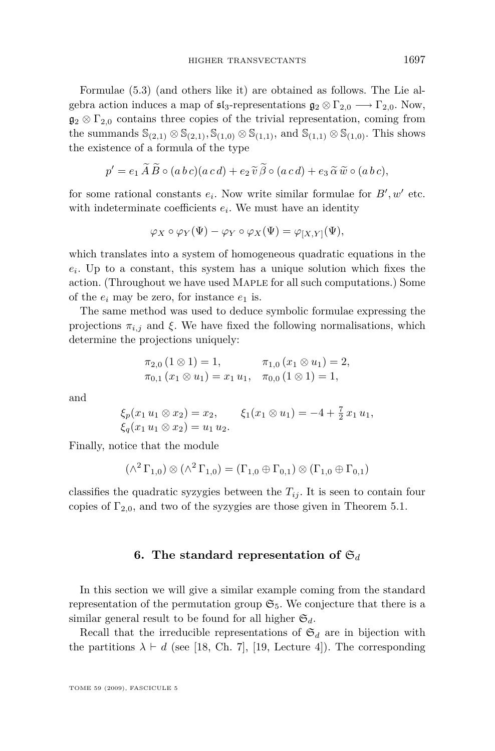<span id="page-27-0"></span>Formulae [\(5.3\)](#page-26-0) (and others like it) are obtained as follows. The Lie algebra action induces a map of  $\mathfrak{sl}_3$ -representations  $\mathfrak{g}_2 \otimes \Gamma_{2,0} \longrightarrow \Gamma_{2,0}$ . Now,  $\mathfrak{g}_2 \otimes \Gamma_{2,0}$  contains three copies of the trivial representation, coming from the summands  $\mathbb{S}_{(2,1)} \otimes \mathbb{S}_{(2,1)}$ ,  $\mathbb{S}_{(1,0)} \otimes \mathbb{S}_{(1,1)}$ , and  $\mathbb{S}_{(1,1)} \otimes \mathbb{S}_{(1,0)}$ . This shows the existence of a formula of the type

$$
p' = e_1 \widetilde{A} \widetilde{B} \circ (a b c)(a c d) + e_2 \widetilde{v} \widetilde{\beta} \circ (a c d) + e_3 \widetilde{\alpha} \widetilde{w} \circ (a b c),
$$

for some rational constants  $e_i$ . Now write similar formulae for  $B'$ ,  $w'$  etc. with indeterminate coefficients  $e_i$ . We must have an identity

$$
\varphi_X \circ \varphi_Y(\Psi) - \varphi_Y \circ \varphi_X(\Psi) = \varphi_{[X,Y]}(\Psi),
$$

which translates into a system of homogeneous quadratic equations in the  $e_i$ . Up to a constant, this system has a unique solution which fixes the action. (Throughout we have used Maple for all such computations.) Some of the  $e_i$  may be zero, for instance  $e_1$  is.

The same method was used to deduce symbolic formulae expressing the projections  $\pi_{i,j}$  and  $\xi$ . We have fixed the following normalisations, which determine the projections uniquely:

$$
\pi_{2,0} (1 \otimes 1) = 1, \qquad \pi_{1,0} (x_1 \otimes u_1) = 2, \n\pi_{0,1} (x_1 \otimes u_1) = x_1 u_1, \quad \pi_{0,0} (1 \otimes 1) = 1,
$$

and

$$
\xi_p(x_1 u_1 \otimes x_2) = x_2, \qquad \xi_1(x_1 \otimes u_1) = -4 + \frac{7}{2} x_1 u_1, \xi_q(x_1 u_1 \otimes x_2) = u_1 u_2.
$$

Finally, notice that the module

$$
(\wedge^2 \Gamma_{1,0}) \otimes (\wedge^2 \Gamma_{1,0}) = (\Gamma_{1,0} \oplus \Gamma_{0,1}) \otimes (\Gamma_{1,0} \oplus \Gamma_{0,1})
$$

classifies the quadratic syzygies between the  $T_{ij}$ . It is seen to contain four copies of  $\Gamma_{2,0}$ , and two of the syzygies are those given in Theorem [5.1.](#page-25-0)

# **6.** The standard representation of  $\mathfrak{S}_d$

In this section we will give a similar example coming from the standard representation of the permutation group  $\mathfrak{S}_5$ . We conjecture that there is a similar general result to be found for all higher  $\mathfrak{S}_d$ .

Recall that the irreducible representations of  $\mathfrak{S}_d$  are in bijection with the partitions  $\lambda \vdash d$  (see [\[18,](#page-42-0) Ch. 7], [\[19,](#page-42-0) Lecture 4]). The corresponding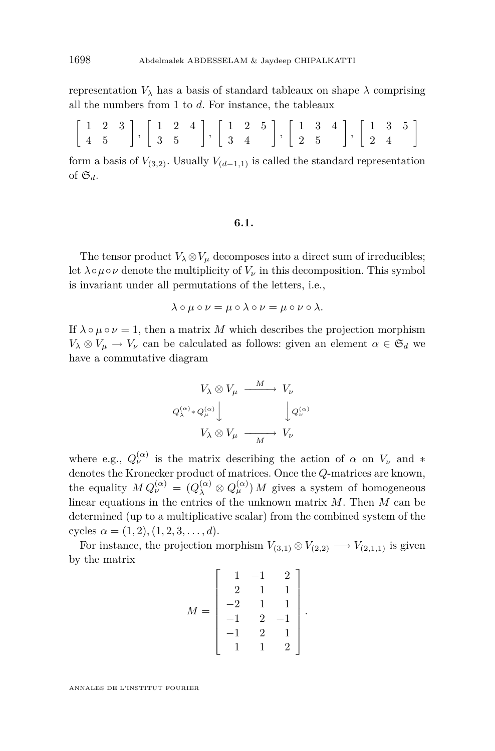representation  $V_{\lambda}$  has a basis of standard tableaux on shape  $\lambda$  comprising all the numbers from 1 to *d*. For instance, the tableaux

|  |  |  |  |  |  |  |  |  | $\left[\begin{array}{ccc}1&2&3\\4&5\end{array}\right],\, \left[\begin{array}{ccc}1&2&4\\3&5\end{array}\right],\, \left[\begin{array}{ccc}1&2&5\\3&4\end{array}\right],\, \left[\begin{array}{ccc}1&3&4\\2&5\end{array}\right],\, \left[\begin{array}{ccc}1&3&5\\2&4\end{array}\right]$ |
|--|--|--|--|--|--|--|--|--|----------------------------------------------------------------------------------------------------------------------------------------------------------------------------------------------------------------------------------------------------------------------------------------|

form a basis of  $V_{(3,2)}$ . Usually  $V_{(d-1,1)}$  is called the standard representation of  $\mathfrak{S}_d$ .

#### **6.1.**

The tensor product  $V_\lambda \otimes V_\mu$  decomposes into a direct sum of irreducibles; let  $\lambda \circ \mu \circ \nu$  denote the multiplicity of  $V_{\nu}$  in this decomposition. This symbol is invariant under all permutations of the letters, i.e.,

$$
\lambda \circ \mu \circ \nu = \mu \circ \lambda \circ \nu = \mu \circ \nu \circ \lambda.
$$

If  $\lambda \circ \mu \circ \nu = 1$ , then a matrix M which describes the projection morphism  $V_{\lambda} \otimes V_{\mu} \to V_{\nu}$  can be calculated as follows: given an element  $\alpha \in \mathfrak{S}_d$  we have a commutative diagram

$$
V_{\lambda} \otimes V_{\mu} \xrightarrow{M} V_{\nu}
$$

$$
Q_{\lambda}^{(\alpha)} * Q_{\mu}^{(\alpha)} \downarrow \qquad \qquad \downarrow Q_{\nu}^{(\alpha)}
$$

$$
V_{\lambda} \otimes V_{\mu} \xrightarrow{M} V_{\nu}
$$

where e.g.,  $Q_{\nu}^{(\alpha)}$  is the matrix describing the action of  $\alpha$  on  $V_{\nu}$  and  $*$ denotes the Kronecker product of matrices. Once the *Q*-matrices are known, the equality  $MQ_{\nu}^{(\alpha)} = (Q_{\lambda}^{(\alpha)} \otimes Q_{\mu}^{(\alpha)}) M$  gives a system of homogeneous linear equations in the entries of the unknown matrix *M*. Then *M* can be determined (up to a multiplicative scalar) from the combined system of the cycles  $\alpha = (1, 2), (1, 2, 3, \ldots, d).$ 

For instance, the projection morphism  $V_{(3,1)} \otimes V_{(2,2)} \longrightarrow V_{(2,1,1)}$  is given by the matrix

$$
M = \begin{bmatrix} 1 & -1 & 2 \\ 2 & 1 & 1 \\ -2 & 1 & 1 \\ -1 & 2 & -1 \\ -1 & 2 & 1 \\ 1 & 1 & 2 \end{bmatrix}.
$$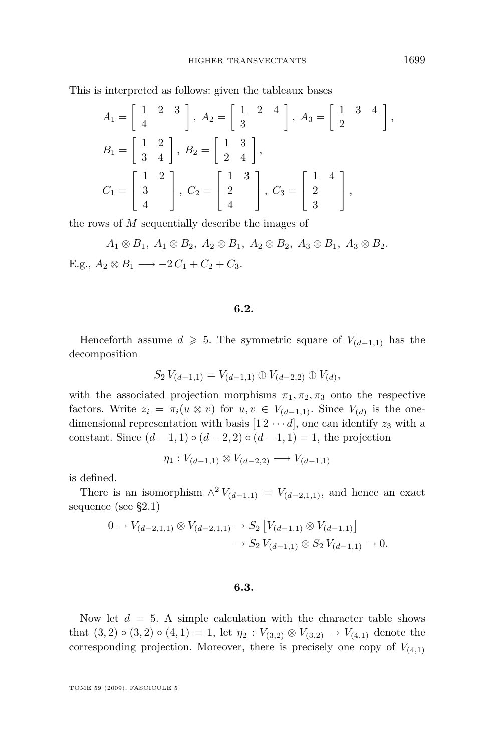This is interpreted as follows: given the tableaux bases

$$
A_1 = \begin{bmatrix} 1 & 2 & 3 \\ 4 & 2 & 3 \end{bmatrix}, A_2 = \begin{bmatrix} 1 & 2 & 4 \\ 3 & 2 & 4 \end{bmatrix}, A_3 = \begin{bmatrix} 1 & 3 & 4 \\ 2 & 2 & 2 \end{bmatrix},
$$
  
\n
$$
B_1 = \begin{bmatrix} 1 & 2 \\ 3 & 4 \end{bmatrix}, B_2 = \begin{bmatrix} 1 & 3 \\ 2 & 4 \end{bmatrix},
$$
  
\n
$$
C_1 = \begin{bmatrix} 1 & 2 \\ 3 & 2 \\ 4 & 2 \end{bmatrix}, C_2 = \begin{bmatrix} 1 & 3 \\ 2 & 2 \\ 4 & 2 \end{bmatrix}, C_3 = \begin{bmatrix} 1 & 4 \\ 2 & 2 \\ 3 & 2 \end{bmatrix},
$$

the rows of *M* sequentially describe the images of

 $A_1 \otimes B_1$ ,  $A_1 \otimes B_2$ ,  $A_2 \otimes B_1$ ,  $A_2 \otimes B_2$ ,  $A_3 \otimes B_1$ ,  $A_3 \otimes B_2$ . E.g.,  $A_2 \otimes B_1$  →  $-2 C_1 + C_2 + C_3$ .

# **6.2.**

Henceforth assume  $d \ge 5$ . The symmetric square of  $V_{(d-1,1)}$  has the decomposition

$$
S_2 V_{(d-1,1)} = V_{(d-1,1)} \oplus V_{(d-2,2)} \oplus V_{(d)},
$$

with the associated projection morphisms  $\pi_1, \pi_2, \pi_3$  onto the respective factors. Write  $z_i = \pi_i(u \otimes v)$  for  $u, v \in V_{(d-1,1)}$ . Since  $V_{(d)}$  is the onedimensional representation with basis  $[1 2 \cdots d]$ , one can identify  $z_3$  with a constant. Since  $(d-1, 1) \circ (d-2, 2) \circ (d-1, 1) = 1$ , the projection

$$
\eta_1: V_{(d-1,1)} \otimes V_{(d-2,2)} \longrightarrow V_{(d-1,1)}
$$

is defined.

There is an isomorphism  $\wedge^2 V_{(d-1,1)} = V_{(d-2,1,1)}$ , and hence an exact sequence (see [§2.1\)](#page-7-0)

$$
0 \to V_{(d-2,1,1)} \otimes V_{(d-2,1,1)} \to S_2 \left[ V_{(d-1,1)} \otimes V_{(d-1,1)} \right] \to S_2 V_{(d-1,1)} \otimes S_2 V_{(d-1,1)} \to 0.
$$

#### **6.3.**

Now let  $d = 5$ . A simple calculation with the character table shows that  $(3, 2) \circ (3, 2) \circ (4, 1) = 1$ , let  $\eta_2 : V_{(3,2)} \otimes V_{(3,2)} \to V_{(4,1)}$  denote the corresponding projection. Moreover, there is precisely one copy of  $V_{(4,1)}$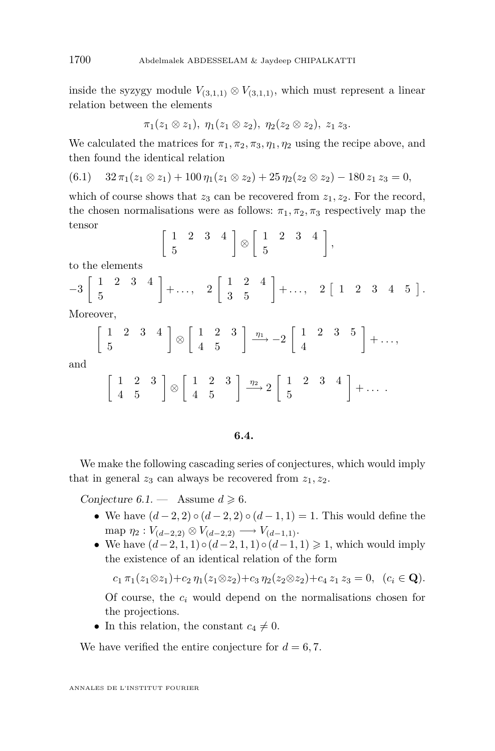inside the syzygy module  $V_{(3,1,1)} \otimes V_{(3,1,1)}$ , which must represent a linear relation between the elements

$$
\pi_1(z_1 \otimes z_1), \ \eta_1(z_1 \otimes z_2), \ \eta_2(z_2 \otimes z_2), \ z_1 z_3.
$$

We calculated the matrices for  $\pi_1, \pi_2, \pi_3, \eta_1, \eta_2$  using the recipe above, and then found the identical relation

$$
(6.1) \quad 32\,\pi_1(z_1\otimes z_1) + 100\,\eta_1(z_1\otimes z_2) + 25\,\eta_2(z_2\otimes z_2) - 180\,z_1\,z_3 = 0,
$$

which of course shows that  $z_3$  can be recovered from  $z_1, z_2$ . For the record, the chosen normalisations were as follows:  $\pi_1$ ,  $\pi_2$ ,  $\pi_3$  respectively map the tensor

$$
\left[\begin{array}{cc} 1 & 2 & 3 & 4 \\ 5 & & & \end{array}\right] \otimes \left[\begin{array}{cc} 1 & 2 & 3 & 4 \\ 5 & & & \end{array}\right],
$$

to the elements

$$
-3\left[\begin{array}{cccc} 1 & 2 & 3 & 4 \\ 5 & 5 & 6 \end{array}\right] + \dots, 2\left[\begin{array}{cccc} 1 & 2 & 4 \\ 3 & 5 & 6 \end{array}\right] + \dots, 2\left[\begin{array}{cccc} 1 & 2 & 3 & 4 & 5 \end{array}\right].
$$

Moreover,

$$
\left[\begin{array}{cc} 1 & 2 & 3 & 4 \\ 5 & & & \end{array}\right] \otimes \left[\begin{array}{cc} 1 & 2 & 3 \\ 4 & 5 & \end{array}\right] \xrightarrow{\eta_1} -2 \left[\begin{array}{cc} 1 & 2 & 3 & 5 \\ 4 & & \end{array}\right] + \dots,
$$

and

$$
\left[\begin{array}{cc} 1 & 2 & 3 \\ 4 & 5 \end{array}\right] \otimes \left[\begin{array}{cc} 1 & 2 & 3 \\ 4 & 5 \end{array}\right] \xrightarrow{\eta_2} 2 \left[\begin{array}{cc} 1 & 2 & 3 & 4 \\ 5 & 5 & 5 \end{array}\right] + \ldots
$$

# **6.4.**

We make the following cascading series of conjectures, which would imply that in general  $z_3$  can always be recovered from  $z_1, z_2$ .

Conjecture  $6.1$  – Assume  $d \geq 6$ .

- *•* We have (*d −* 2*,* 2) *◦* (*d −* 2*,* 2) *◦* (*d −* 1*,* 1) = 1. This would define the  $\text{map } \eta_2 : V_{(d-2,2)} \otimes V_{(d-2,2)} \longrightarrow V_{(d-1,1)}.$
- *•* We have (*d−*2*,* 1*,* 1)*◦*(*d−*2*,* 1*,* 1)*◦*(*d−*1*,* 1) > 1, which would imply the existence of an identical relation of the form

 $c_1 \pi_1(z_1 \otimes z_1) + c_2 \eta_1(z_1 \otimes z_2) + c_3 \eta_2(z_2 \otimes z_2) + c_4 z_1 z_3 = 0, \ (c_i \in \mathbf{Q}).$ 

Of course, the *c<sup>i</sup>* would depend on the normalisations chosen for the projections.

• In this relation, the constant  $c_4 \neq 0$ .

We have verified the entire conjecture for  $d = 6, 7$ .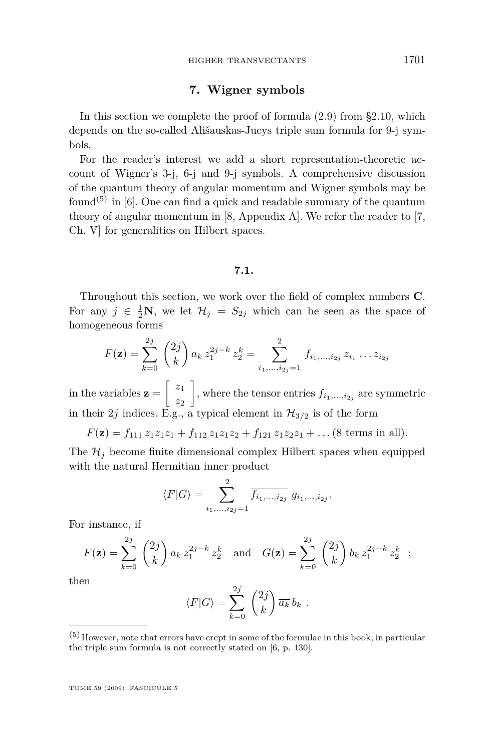# **7. Wigner symbols**

<span id="page-31-0"></span>In this section we complete the proof of formula  $(2.9)$  from [§2.10,](#page-12-0) which depends on the so-called Ališauskas-Jucys triple sum formula for 9-j symbols.

For the reader's interest we add a short representation-theoretic account of Wigner's 3-j, 6-j and 9-j symbols. A comprehensive discussion of the quantum theory of angular momentum and Wigner symbols may be found<sup>(5)</sup> in  $[6]$ . One can find a quick and readable summary of the quantum theory of angular momentum in [\[8,](#page-42-0) Appendix A]. We refer the reader to [\[7,](#page-42-0) Ch. V] for generalities on Hilbert spaces.

#### **7.1.**

Throughout this section, we work over the field of complex numbers **C**. For any  $j \in \frac{1}{2}N$ , we let  $\mathcal{H}_j = S_{2j}$  which can be seen as the space of homogeneous forms

$$
F(\mathbf{z}) = \sum_{k=0}^{2j} {2j \choose k} a_k z_1^{2j-k} z_2^k = \sum_{i_1,\dots,i_{2j}=1}^{2} f_{i_1,\dots,i_{2j}} z_{i_1} \dots z_{i_{2j}}
$$

in the variables  $z = \begin{bmatrix} z_1 \\ z_2 \end{bmatrix}$ *z*2 , where the tensor entries  $f_{i_1,\dots,i_{2j}}$  are symmetric in their 2*j* indices. E.g., a typical element in  $\mathcal{H}_{3/2}$  is of the form

$$
F(\mathbf{z}) = f_{111} z_1 z_1 z_1 + f_{112} z_1 z_1 z_2 + f_{121} z_1 z_2 z_1 + \dots (8 \text{ terms in all}).
$$

The  $\mathcal{H}_j$  become finite dimensional complex Hilbert spaces when equipped with the natural Hermitian inner product

$$
\langle F|G\rangle = \sum_{i_1,\dots,i_{2j}=1}^2 \overline{f_{i_1,\dots,i_{2j}}}\ g_{i_1,\dots,i_{2j}}.
$$

For instance, if

$$
F(\mathbf{z}) = \sum_{k=0}^{2j} {2j \choose k} a_k z_1^{2j-k} z_2^k \text{ and } G(\mathbf{z}) = \sum_{k=0}^{2j} {2j \choose k} b_k z_1^{2j-k} z_2^k ;
$$

then

$$
\langle F|G\rangle = \sum_{k=0}^{2j} \binom{2j}{k} \overline{a_k} b_k.
$$

 $(5)$  However, note that errors have crept in some of the formulae in this book; in particular the triple sum formula is not correctly stated on [\[6,](#page-42-0) p. 130].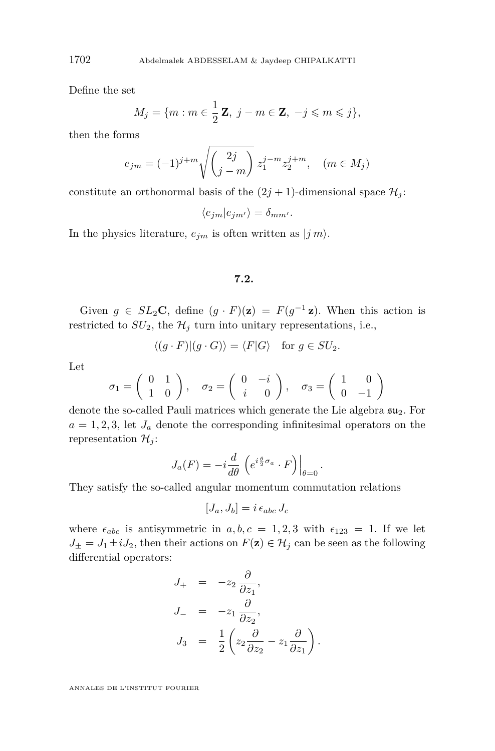Define the set

$$
M_j = \{m : m \in \frac{1}{2} \mathbf{Z}, j - m \in \mathbf{Z}, -j \leqslant m \leqslant j\},\
$$

then the forms

$$
e_{jm} = (-1)^{j+m} \sqrt{\binom{2j}{j-m}} z_1^{j-m} z_2^{j+m}, \quad (m \in M_j)
$$

constitute an orthonormal basis of the  $(2j + 1)$ -dimensional space  $\mathcal{H}_j$ :

 $\langle e_{im}|e_{im'}\rangle = \delta_{mm'}$ .

In the physics literature,  $e_{im}$  is often written as  $|j m\rangle$ .

#### **7.2.**

Given  $g \in SL_2\mathbb{C}$ , define  $(g \cdot F)(\mathbf{z}) = F(g^{-1} \mathbf{z})$ . When this action is restricted to  $SU_2$ , the  $\mathcal{H}_j$  turn into unitary representations, i.e.,

$$
\langle (g \cdot F) | (g \cdot G) \rangle = \langle F | G \rangle
$$
 for  $g \in SU_2$ .

Let

$$
\sigma_1 = \begin{pmatrix} 0 & 1 \\ 1 & 0 \end{pmatrix}, \quad \sigma_2 = \begin{pmatrix} 0 & -i \\ i & 0 \end{pmatrix}, \quad \sigma_3 = \begin{pmatrix} 1 & 0 \\ 0 & -1 \end{pmatrix}
$$

denote the so-called Pauli matrices which generate the Lie algebra  $\mathfrak{su}_2$ . For  $a = 1, 2, 3$ , let  $J_a$  denote the corresponding infinitesimal operators on the representation  $\mathcal{H}_j$ :

$$
J_a(F) = -i\frac{d}{d\theta} \left( e^{i\frac{\theta}{2}\sigma_a} \cdot F \right) \Big|_{\theta=0}
$$

*.*

They satisfy the so-called angular momentum commutation relations

$$
[J_a, J_b] = i \epsilon_{abc} J_c
$$

where  $\epsilon_{abc}$  is antisymmetric in  $a, b, c = 1, 2, 3$  with  $\epsilon_{123} = 1$ . If we let  $J_{\pm} = J_1 \pm iJ_2$ , then their actions on  $F(\mathbf{z}) \in \mathcal{H}_j$  can be seen as the following differential operators:

$$
J_{+} = -z_{2} \frac{\partial}{\partial z_{1}},
$$
  
\n
$$
J_{-} = -z_{1} \frac{\partial}{\partial z_{2}},
$$
  
\n
$$
J_{3} = \frac{1}{2} \left( z_{2} \frac{\partial}{\partial z_{2}} - z_{1} \frac{\partial}{\partial z_{1}} \right).
$$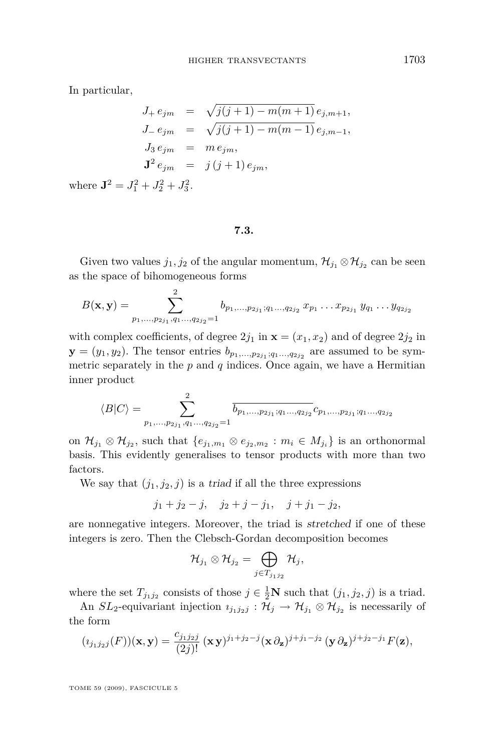In particular,

$$
J_{+} e_{jm} = \sqrt{j(j+1) - m(m+1)} e_{j,m+1},
$$
  
\n
$$
J_{-} e_{jm} = \sqrt{j(j+1) - m(m-1)} e_{j,m-1},
$$
  
\n
$$
J_{3} e_{jm} = m e_{jm},
$$
  
\n
$$
\mathbf{J}^{2} e_{jm} = j(j+1) e_{jm},
$$

where  $\mathbf{J}^2 = J_1^2 + J_2^2 + J_3^2$ .

**7.3.**

Given two values  $j_1, j_2$  of the angular momentum,  $\mathcal{H}_{j_1} \otimes \mathcal{H}_{j_2}$  can be seen as the space of bihomogeneous forms

$$
B(\mathbf{x}, \mathbf{y}) = \sum_{p_1, \dots, p_{2j_1}, q_1 \dots, q_{2j_2} = 1}^{2} b_{p_1, \dots, p_{2j_1}; q_1 \dots, q_{2j_2}} x_{p_1} \dots x_{p_{2j_1}} y_{q_1} \dots y_{q_{2j_2}}
$$

with complex coefficients, of degree  $2j_1$  in  $\mathbf{x} = (x_1, x_2)$  and of degree  $2j_2$  in  $\mathbf{y} = (y_1, y_2)$ . The tensor entries  $b_{p_1,...,p_{2j_1};q_1...,q_{2j_2}}$  are assumed to be symmetric separately in the  $p$  and  $q$  indices. Once again, we have a Hermitian inner product

$$
\langle B|C\rangle = \sum_{p_1,\ldots,p_{2j_1},q_1\ldots,q_{2j_2}=1}^{2} \overline{b_{p_1,\ldots,p_{2j_1};q_1\ldots,q_{2j_2}}} c_{p_1,\ldots,p_{2j_1};q_1\ldots,q_{2j_2}}
$$

on  $\mathcal{H}_{j_1} \otimes \mathcal{H}_{j_2}$ , such that  $\{e_{j_1,m_1} \otimes e_{j_2,m_2} : m_i \in M_{j_i}\}$  is an orthonormal basis. This evidently generalises to tensor products with more than two factors.

We say that  $(j_1, j_2, j)$  is a triad if all the three expressions

$$
j_1 + j_2 - j
$$
,  $j_2 + j - j_1$ ,  $j + j_1 - j_2$ ,

are nonnegative integers. Moreover, the triad is stretched if one of these integers is zero. Then the Clebsch-Gordan decomposition becomes

$$
\mathcal{H}_{j_1}\otimes\mathcal{H}_{j_2}=\bigoplus_{j\in T_{j_1j_2}}\mathcal{H}_j,
$$

where the set  $T_{j_1j_2}$  consists of those  $j \in \frac{1}{2}N$  such that  $(j_1, j_2, j)$  is a triad.

An *SL*<sub>2</sub>-equivariant injection  $\iota_{j_1j_2j} : \mathcal{H}_j \to \mathcal{H}_{j_1} \otimes \mathcal{H}_{j_2}$  is necessarily of the form

$$
(\imath_{j_1j_2j}(F))(\mathbf{x},\mathbf{y})=\frac{c_{j_1j_2j}}{(2j)!}(\mathbf{x}\mathbf{y})^{j_1+j_2-j}(\mathbf{x}\partial_{\mathbf{z}})^{j+j_1-j_2}(\mathbf{y}\partial_{\mathbf{z}})^{j+j_2-j_1}F(\mathbf{z}),
$$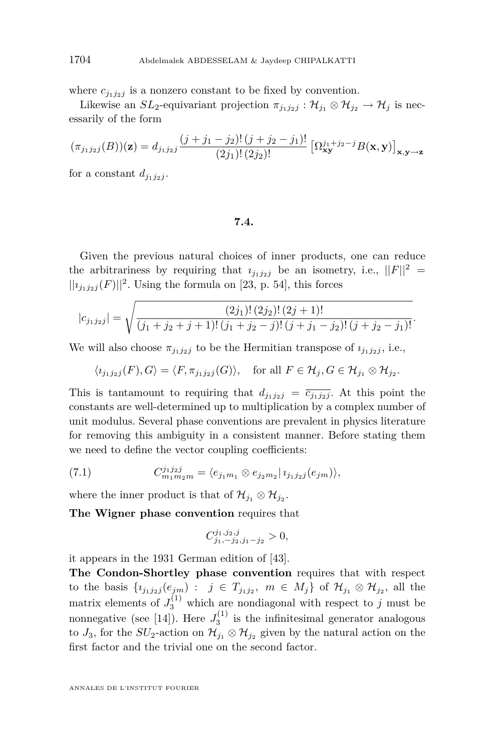where  $c_{j_1j_2j}$  is a nonzero constant to be fixed by convention.

Likewise an *SL*<sub>2</sub>-equivariant projection  $\pi_{j_1j_2j} : \mathcal{H}_{j_1} \otimes \mathcal{H}_{j_2} \to \mathcal{H}_j$  is necessarily of the form

$$
(\pi_{j_1j_2j}(B))(\mathbf{z}) = d_{j_1j_2j} \frac{(j+j_1-j_2)!(j+j_2-j_1)!}{(2j_1)!(2j_2)!} \left[\Omega_{\mathbf{xy}}^{j_1+j_2-j} B(\mathbf{x}, \mathbf{y})\right]_{\mathbf{x}, \mathbf{y} \to \mathbf{z}}
$$

for a constant  $d_{i_1 i_2 j}$ .

#### **7.4.**

Given the previous natural choices of inner products, one can reduce the arbitrariness by requiring that  $i_{j_1j_2j}$  be an isometry, i.e.,  $||F||^2 =$  $||i_{j_1j_2j}(F)||^2$ . Using the formula on [\[23,](#page-42-0) p. 54], this forces

$$
|c_{j_1j_2j}| = \sqrt{\frac{(2j_1)! (2j_2)! (2j+1)!}{(j_1+j_2+j+1)! (j_1+j_2-j)! (j+j_1-j_2)! (j+j_2-j_1)!}}.
$$

We will also choose  $\pi_{j_1 j_2 j}$  to be the Hermitian transpose of  $\iota_{j_1 j_2 j}$ , i.e.,

$$
\langle i_{j_1j_2j}(F), G \rangle = \langle F, \pi_{j_1j_2j}(G) \rangle, \text{ for all } F \in \mathcal{H}_j, G \in \mathcal{H}_{j_1} \otimes \mathcal{H}_{j_2}.
$$

This is tantamount to requiring that  $d_{j_1j_2j} = \overline{c_{j_1j_2j}}$ . At this point the constants are well-determined up to multiplication by a complex number of unit modulus. Several phase conventions are prevalent in physics literature for removing this ambiguity in a consistent manner. Before stating them we need to define the vector coupling coefficients:

(7.1) 
$$
C_{m_1m_2m}^{j_1j_2j} = \langle e_{j_1m_1} \otimes e_{j_2m_2} | i_{j_1j_2j}(e_{jm}) \rangle,
$$

where the inner product is that of  $\mathcal{H}_{j_1} \otimes \mathcal{H}_{j_2}$ .

**The Wigner phase convention** requires that

$$
C^{j_1,j_2,j}_{j_1,-j_2,j_1-j_2} > 0,
$$

it appears in the 1931 German edition of [\[43\]](#page-43-0).

**The Condon-Shortley phase convention** requires that with respect to the basis  $\{i_{j_1j_2j}(e_{jm}) : j \in T_{j_1j_2}, m \in M_j\}$  of  $\mathcal{H}_{j_1} \otimes \mathcal{H}_{j_2}$ , all the matrix elements of  $J_3^{(1)}$  which are nondiagonal with respect to *j* must be nonnegative (see [\[14\]](#page-42-0)). Here  $J_3^{(1)}$  is the infinitesimal generator analogous to  $J_3$ , for the  $SU_2$ -action on  $\mathcal{H}_{j_1} \otimes \mathcal{H}_{j_2}$  given by the natural action on the first factor and the trivial one on the second factor.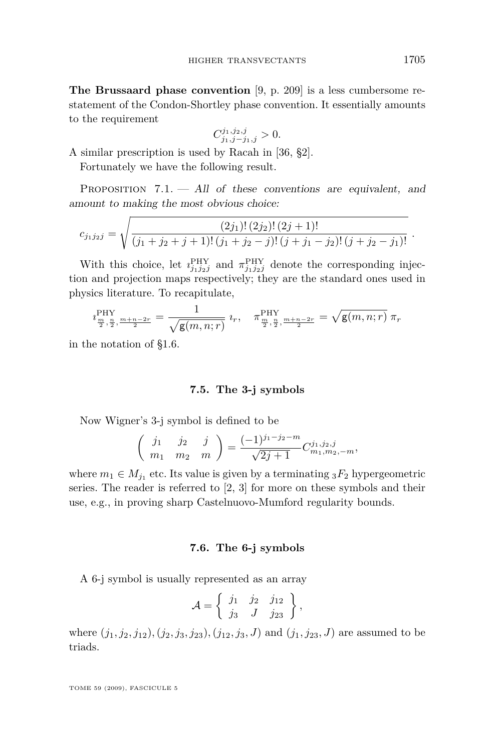**The Brussaard phase convention** [\[9,](#page-42-0) p. 209] is a less cumbersome restatement of the Condon-Shortley phase convention. It essentially amounts to the requirement

$$
C_{j_1,j-j_1,j}^{j_1,j_2,j} > 0.
$$

A similar prescription is used by Racah in [\[36,](#page-43-0) §2].

Fortunately we have the following result.

PROPOSITION  $7.1.$   $-$  All of these conventions are equivalent, and amount to making the most obvious choice:

$$
c_{j_1j_2j} = \sqrt{\frac{(2j_1)!(2j_2)!(2j+1)!}{(j_1+j_2+j+1)!(j_1+j_2-j)!(j+j_1-j_2)!(j+j_2-j_1)!}}.
$$

With this choice, let  $i_{j_1j_2j}^{\text{PHY}}$  and  $\pi_{j_1j_2j}^{\text{PHY}}$  denote the corresponding injection and projection maps respectively; they are the standard ones used in physics literature. To recapitulate,

$$
i_{\frac{m}{2},\frac{n}{2},\frac{m+n-2r}{2}}^{\text{PHY}} = \frac{1}{\sqrt{\mathsf{g}(m,n;r)}} \; i_{r}, \quad \pi_{\frac{m}{2},\frac{n}{2},\frac{m+n-2r}{2}}^{\text{PHY}} = \sqrt{\mathsf{g}(m,n;r)} \; \pi_{r}
$$

in the notation of [§1.6.](#page-5-0)

#### **7.5. The 3-j symbols**

Now Wigner's 3-j symbol is defined to be

$$
\begin{pmatrix}\nj_1 & j_2 & j \\
m_1 & m_2 & m\n\end{pmatrix} = \frac{(-1)^{j_1 - j_2 - m}}{\sqrt{2j + 1}} C^{j_1, j_2, j}_{m_1, m_2, -m},
$$

where  $m_1 \in M_{j_1}$  etc. Its value is given by a terminating  ${}_3F_2$  hypergeometric series. The reader is referred to [\[2,](#page-41-0) [3\]](#page-41-0) for more on these symbols and their use, e.g., in proving sharp Castelnuovo-Mumford regularity bounds.

#### **7.6. The 6-j symbols**

A 6-j symbol is usually represented as an array

$$
\mathcal{A} = \left\{ \begin{array}{ccc} j_1 & j_2 & j_{12} \\ j_3 & J & j_{23} \end{array} \right\},\,
$$

where  $(j_1, j_2, j_{12})$ ,  $(j_2, j_3, j_{23})$ ,  $(j_{12}, j_3, J)$  and  $(j_1, j_{23}, J)$  are assumed to be triads.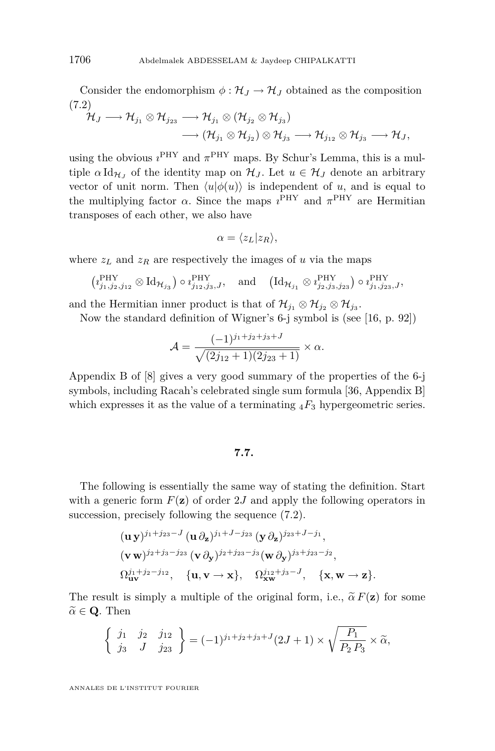Consider the endomorphism  $\phi : \mathcal{H}_J \to \mathcal{H}_J$  obtained as the composition (7.2)

$$
\begin{aligned} \mathcal{H}_J \longrightarrow \mathcal{H}_{j_1} \otimes \mathcal{H}_{j_{23}} &\longrightarrow \mathcal{H}_{j_1} \otimes (\mathcal{H}_{j_2} \otimes \mathcal{H}_{j_3}) \\ &\longrightarrow (\mathcal{H}_{j_1} \otimes \mathcal{H}_{j_2}) \otimes \mathcal{H}_{j_3} \longrightarrow \mathcal{H}_{j_{12}} \otimes \mathcal{H}_{j_3} \longrightarrow \mathcal{H}_J, \end{aligned}
$$

using the obvious  $i^{\text{PHY}}$  and  $\pi^{\text{PHY}}$  maps. By Schur's Lemma, this is a multiple  $\alpha \, \mathrm{Id}_{\mathcal{H}_J}$  of the identity map on  $\mathcal{H}_J$ . Let  $u \in \mathcal{H}_J$  denote an arbitrary vector of unit norm. Then  $\langle u | \phi(u) \rangle$  is independent of *u*, and is equal to the multiplying factor  $\alpha$ . Since the maps  $i^{\text{PHY}}$  and  $\pi^{\text{PHY}}$  are Hermitian transposes of each other, we also have

$$
\alpha = \langle z_L | z_R \rangle,
$$

where  $z_L$  and  $z_R$  are respectively the images of *u* via the maps

$$
\left(\imath_{j_1,j_2,j_{12}}^\text{PHY}\otimes \text{Id}_{\mathcal{H}_{j_3}}\right)\circ \imath_{j_{12},j_3,J}^\text{PHY},\quad \text{and}\quad \left(\text{Id}_{\mathcal{H}_{j_1}}\otimes \imath_{j_2,j_3,j_{23}}^\text{PHY}\right)\circ \imath_{j_1,j_{23},J}^\text{PHY},
$$

and the Hermitian inner product is that of  $\mathcal{H}_{j_1} \otimes \mathcal{H}_{j_2} \otimes \mathcal{H}_{j_3}$ .

Now the standard definition of Wigner's 6-j symbol is (see [\[16,](#page-42-0) p. 92])

$$
\mathcal{A} = \frac{(-1)^{j_1+j_2+j_3+J}}{\sqrt{(2j_{12}+1)(2j_{23}+1)}} \times \alpha.
$$

Appendix B of [\[8\]](#page-42-0) gives a very good summary of the properties of the 6-j symbols, including Racah's celebrated single sum formula [\[36,](#page-43-0) Appendix B] which expresses it as the value of a terminating  $_4F_3$  hypergeometric series.

#### **7.7.**

The following is essentially the same way of stating the definition. Start with a generic form  $F(\mathbf{z})$  of order 2*J* and apply the following operators in succession, precisely following the sequence (7.2).

$$
\begin{aligned}\n&(\mathbf{u}\,\mathbf{y})^{j_1+j_2}\mathbf{x}^{-J}\,(\mathbf{u}\,\partial_{\mathbf{z}})^{j_1+J-j_2}\,(\mathbf{y}\,\partial_{\mathbf{z}})^{j_2}\mathbf{x}^{+J-j_1},\\
&(\mathbf{v}\,\mathbf{w})^{j_2+j_3-j_2}\,(\mathbf{v}\,\partial_{\mathbf{y}})^{j_2+j_2}\mathbf{x}^{-j_3}(\mathbf{w}\,\partial_{\mathbf{y}})^{j_3+j_2}\mathbf{x}^{-j_2},\\
&\Omega_{\mathbf{u}\mathbf{v}}^{j_1+j_2-j_1}\mathbf{x},\quad\{\mathbf{u},\mathbf{v}\to\mathbf{x}\},\quad\Omega_{\mathbf{x}\mathbf{w}}^{j_1}\mathbf{x}^{+j_3-J},\quad\{\mathbf{x},\mathbf{w}\to\mathbf{z}\}.\n\end{aligned}
$$

The result is simply a multiple of the original form, i.e.,  $\tilde{\alpha} F(\mathbf{z})$  for some  $\widetilde{\alpha} \in \mathbf{Q}$ . Then

$$
\begin{cases} j_1 & j_2 & j_{12} \\ j_3 & J & j_{23} \end{cases} = (-1)^{j_1+j_2+j_3+J} (2J+1) \times \sqrt{\frac{P_1}{P_2 P_3}} \times \tilde{\alpha},
$$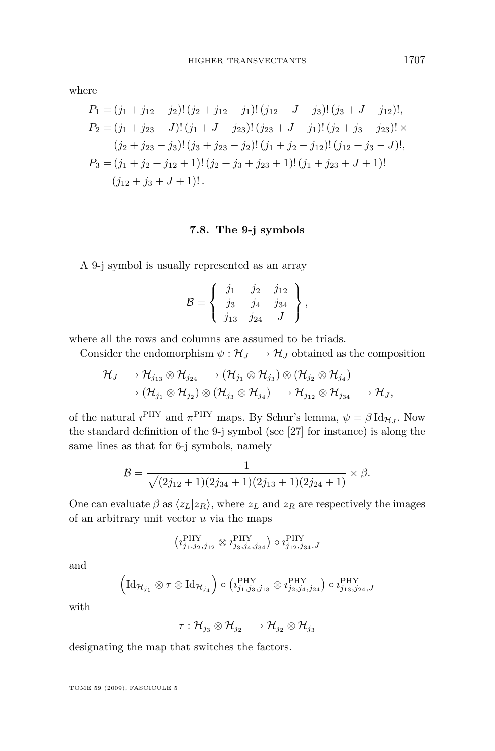<span id="page-37-0"></span>where

$$
P_1 = (j_1 + j_{12} - j_2)!(j_2 + j_{12} - j_1)!(j_{12} + J - j_3)!(j_3 + J - j_{12})!,
$$
  
\n
$$
P_2 = (j_1 + j_{23} - J)!(j_1 + J - j_{23})!(j_{23} + J - j_1)!(j_2 + j_3 - j_{23}) \times
$$
  
\n
$$
(j_2 + j_{23} - j_3)!(j_3 + j_{23} - j_2)!(j_1 + j_2 - j_{12})!(j_{12} + j_3 - J)!,
$$
  
\n
$$
P_3 = (j_1 + j_2 + j_{12} + 1)!(j_2 + j_3 + j_{23} + 1)!(j_1 + j_{23} + J + 1)!
$$
  
\n
$$
(j_{12} + j_3 + J + 1)!
$$

# **7.8. The 9-j symbols**

A 9-j symbol is usually represented as an array

$$
\mathcal{B} = \left\{ \begin{array}{ccc} j_1 & j_2 & j_{12} \\ j_3 & j_4 & j_{34} \\ j_{13} & j_{24} & J \end{array} \right\},\,
$$

where all the rows and columns are assumed to be triads.

Consider the endomorphism  $\psi : \mathcal{H}_J \longrightarrow \mathcal{H}_J$  obtained as the composition

$$
\begin{aligned} \mathcal{H}_J &\longrightarrow \mathcal{H}_{j_{13}} \otimes \mathcal{H}_{j_{24}} \longrightarrow (\mathcal{H}_{j_1} \otimes \mathcal{H}_{j_3}) \otimes (\mathcal{H}_{j_2} \otimes \mathcal{H}_{j_4}) \\ &\longrightarrow (\mathcal{H}_{j_1} \otimes \mathcal{H}_{j_2}) \otimes (\mathcal{H}_{j_3} \otimes \mathcal{H}_{j_4}) \longrightarrow \mathcal{H}_{j_{12}} \otimes \mathcal{H}_{j_{34}} \longrightarrow \mathcal{H}_J, \end{aligned}
$$

of the natural  $i^{\text{PHY}}$  and  $\pi^{\text{PHY}}$  maps. By Schur's lemma,  $\psi = \beta \text{Id}_{\mathcal{H}_J}$ . Now the standard definition of the 9-j symbol (see [\[27\]](#page-42-0) for instance) is along the same lines as that for 6-j symbols, namely

$$
\mathcal{B} = \frac{1}{\sqrt{(2j_{12}+1)(2j_{34}+1)(2j_{13}+1)(2j_{24}+1)}} \times \beta.
$$

One can evaluate  $\beta$  as  $\langle z_L | z_R \rangle$ , where  $z_L$  and  $z_R$  are respectively the images of an arbitrary unit vector *u* via the maps

$$
\left(\imath_{j_1,j_2,j_{12}}^{\text{PHY}} \otimes \imath_{j_3,j_4,j_{34}}^{\text{PHY}}\right) \circ \imath_{j_{12},j_{34},J}^{\text{PHY}}
$$

and

$$
\left(\mathrm{Id}_{\mathcal{H}_{j_1}}\otimes \tau\otimes \mathrm{Id}_{\mathcal{H}_{j_4}}\right)\circ \left(\imath_{j_1,j_3,j_{13}}^{\mathrm{PHY}}\otimes \imath_{j_2,j_4,j_{24}}^{\mathrm{PHY}}\right)\circ \imath_{j_1,j_2,j_4,J}^{\mathrm{PHY}}
$$

with

$$
\tau: \mathcal{H}_{j_{3}} \otimes \mathcal{H}_{j_{2}} \longrightarrow \mathcal{H}_{j_{2}} \otimes \mathcal{H}_{j_{3}}
$$

designating the map that switches the factors.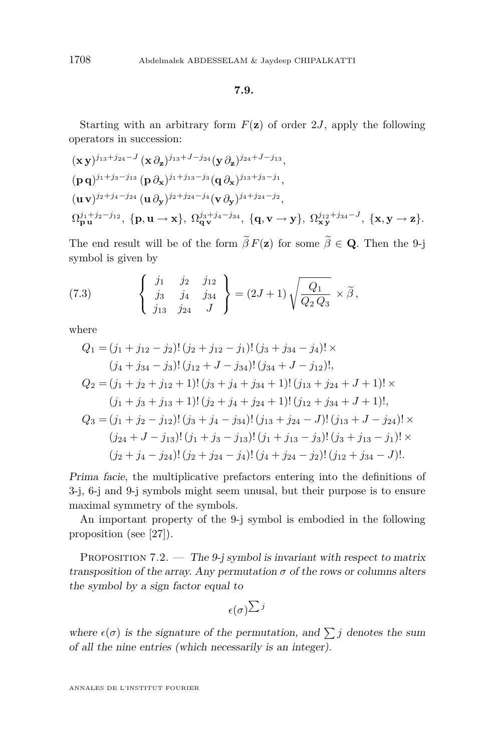**7.9.**

<span id="page-38-0"></span>Starting with an arbitrary form  $F(\mathbf{z})$  of order 2*J*, apply the following operators in succession:

$$
(\mathbf{x}\,\mathbf{y})^{j_{13}+j_{24}-J} (\mathbf{x}\,\partial_{\mathbf{z}})^{j_{13}+J-j_{24}} (\mathbf{y}\,\partial_{\mathbf{z}})^{j_{24}+J-j_{13}},
$$
  
\n
$$
(\mathbf{p}\,\mathbf{q})^{j_{1}+j_{3}-j_{13}} (\mathbf{p}\,\partial_{\mathbf{x}})^{j_{1}+j_{13}-j_{3}} (\mathbf{q}\,\partial_{\mathbf{x}})^{j_{13}+j_{3}-j_{1}},
$$
  
\n
$$
(\mathbf{u}\,\mathbf{v})^{j_{2}+j_{4}-j_{24}} (\mathbf{u}\,\partial_{\mathbf{y}})^{j_{2}+j_{24}-j_{4}} (\mathbf{v}\,\partial_{\mathbf{y}})^{j_{4}+j_{24}-j_{2}},
$$
  
\n
$$
\Omega_{\mathbf{p}\,\mathbf{u}}^{j_{1}+j_{2}-j_{12}}, \{\mathbf{p},\mathbf{u}\to\mathbf{x}\}, \Omega_{\mathbf{q}\,\mathbf{v}}^{j_{3}+j_{4}-j_{34}}, \{\mathbf{q},\mathbf{v}\to\mathbf{y}\}, \Omega_{\mathbf{xy}}^{j_{12}+j_{34}-J}, \{\mathbf{x},\mathbf{y}\to\mathbf{z}\}.
$$

The end result will be of the form  $\tilde{\beta} F(z)$  for some  $\tilde{\beta} \in \mathbf{Q}$ . Then the 9-j symbol is given by

(7.3) 
$$
\begin{Bmatrix} j_1 & j_2 & j_{12} \\ j_3 & j_4 & j_{34} \\ j_{13} & j_{24} & J \end{Bmatrix} = (2J+1)\sqrt{\frac{Q_1}{Q_2 Q_3}} \times \widetilde{\beta},
$$

where

$$
Q_1 = (j_1 + j_{12} - j_2)!(j_2 + j_{12} - j_1)!(j_3 + j_{34} - j_4)!\times
$$
  
\n
$$
(j_4 + j_{34} - j_3)!(j_{12} + J - j_{34})!(j_{34} + J - j_{12})!,
$$
  
\n
$$
Q_2 = (j_1 + j_2 + j_{12} + 1)!(j_3 + j_4 + j_{34} + 1)!(j_{13} + j_{24} + J + 1)!\times
$$
  
\n
$$
(j_1 + j_3 + j_{13} + 1)!(j_2 + j_4 + j_{24} + 1)!(j_{12} + j_{34} + J + 1)!,
$$
  
\n
$$
Q_3 = (j_1 + j_2 - j_{12})!(j_3 + j_4 - j_{34})!(j_{13} + j_{24} - J)!(j_{13} + J - j_{24})!\times
$$
  
\n
$$
(j_{24} + J - j_{13})!(j_1 + j_3 - j_{13})!(j_1 + j_{13} - j_3)!(j_3 + j_{13} - j_1)!\times
$$
  
\n
$$
(j_2 + j_4 - j_{24})!(j_2 + j_{24} - j_4)!(j_4 + j_{24} - j_2)!(j_{12} + j_{34} - J)!.
$$

Prima facie, the multiplicative prefactors entering into the definitions of 3-j, 6-j and 9-j symbols might seem unusal, but their purpose is to ensure maximal symmetry of the symbols.

An important property of the 9-j symbol is embodied in the following proposition (see [\[27\]](#page-42-0)).

PROPOSITION 7.2. — The 9-j symbol is invariant with respect to matrix transposition of the array. Any permutation  $\sigma$  of the rows or columns alters the symbol by a sign factor equal to

$$
_{ \epsilon(\sigma)}\Sigma^{ \,j}
$$

where  $\epsilon(\sigma)$  is the signature of the permutation, and  $\sum j$  denotes the sum of all the nine entries (which necessarily is an integer).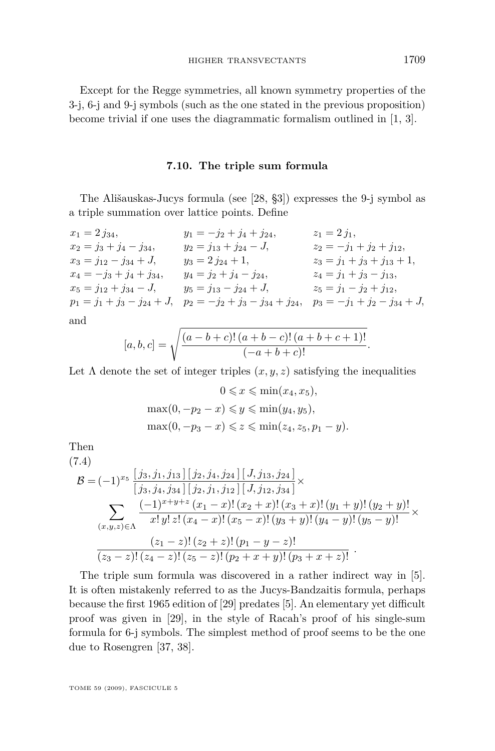<span id="page-39-0"></span>Except for the Regge symmetries, all known symmetry properties of the 3-j, 6-j and 9-j symbols (such as the one stated in the previous proposition) become trivial if one uses the diagrammatic formalism outlined in [\[1,](#page-41-0) [3\]](#page-41-0).

#### **7.10. The triple sum formula**

The Ališauskas-Jucys formula (see [\[28,](#page-42-0) §3]) expresses the 9-j symbol as a triple summation over lattice points. Define

 $x_1 = 2 j_{34}$ ,  $y_1 = -j_2 + j_4 + j_{24}$ ,  $z_1 = 2 j_1$ ,  $x_2 = j_3 + j_4 - j_{34}$ ,  $y_2 = j_{13} + j_{24} - J$ ,  $z_2 = -j_1 + j_2 + j_{12}$ ,  $x_3 = j_{12} - j_{34} + J$ ,  $y_3 = 2 j_{24} + 1$ ,  $z_3 = j_1 + j_3 + j_{13} + 1$ ,  $x_4 = -j_3 + j_4 + j_{34}$ ,  $y_4 = j_2 + j_4 - j_{24}$ ,  $z_4 = j_1 + j_3 - j_{13}$ ,  $x_5 = j_{12} + j_{34} - J$ ,  $y_5 = j_{13} - j_{24} + J$ ,  $z_5 = j_1 - j_2 + j_{12}$ ,  $p_1 = j_1 + j_3 - j_{24} + J$ ,  $p_2 = -j_2 + j_3 - j_{34} + j_{24}$ ,  $p_3 = -j_1 + j_2 - j_{34} + J$ ,

and

$$
[a, b, c] = \sqrt{\frac{(a - b + c)!(a + b - c)!(a + b + c + 1)!}{(-a + b + c)!}}.
$$

Let  $\Lambda$  denote the set of integer triples  $(x, y, z)$  satisfying the inequalities

$$
0 \leqslant x \leqslant \min(x_4, x_5),
$$

$$
\max(0, -p_2 - x) \leqslant y \leqslant \min(y_4, y_5),
$$

$$
\max(0, -p_3 - x) \leqslant z \leqslant \min(z_4, z_5, p_1 - y).
$$

Then

$$
(7.4)
$$
\n
$$
\mathcal{B} = (-1)^{x_5} \frac{[j_3, j_1, j_{13}] [j_2, j_4, j_{24}] [J, j_{13}, j_{24}]}{[j_3, j_4, j_{34}] [j_2, j_1, j_{12}] [J, j_{12}, j_{34}]}\times
$$
\n
$$
\sum_{(x,y,z)\in\Lambda} \frac{(-1)^{x+y+z} (x_1 - x) [(x_2 + x) [(x_3 + x) [(y_1 + y) ] (y_2 + y)]}{x! y! z! (x_4 - x) [(x_5 - x) [(y_3 + y) ] (y_4 - y) [(y_5 - y) ]}\times
$$
\n
$$
\frac{(z_1 - z) [(z_2 + z) [(p_1 - y - z)]}{(z_3 - z)!(z_4 - z)!(z_5 - z)!(p_2 + x + y)!(p_3 + x + z)!}.
$$

The triple sum formula was discovered in a rather indirect way in [\[5\]](#page-42-0). It is often mistakenly referred to as the Jucys-Bandzaitis formula, perhaps because the first 1965 edition of [\[29\]](#page-43-0) predates [\[5\]](#page-42-0). An elementary yet difficult proof was given in [\[29\]](#page-43-0), in the style of Racah's proof of his single-sum formula for 6-j symbols. The simplest method of proof seems to be the one due to Rosengren [\[37,](#page-43-0) [38\]](#page-43-0).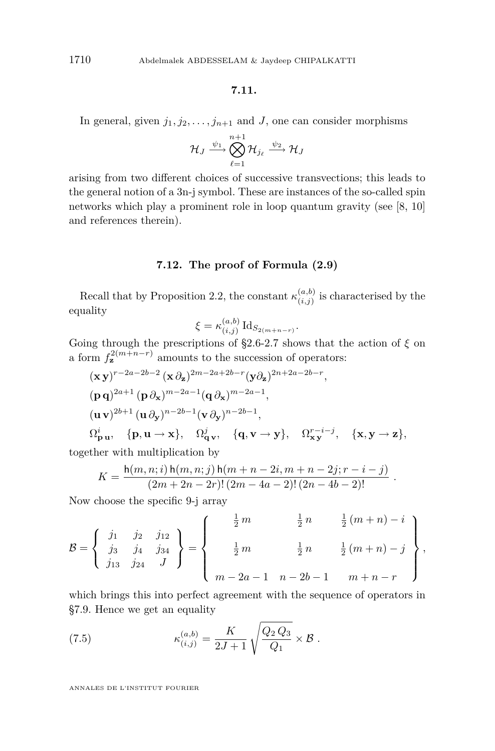#### **7.11.**

<span id="page-40-0"></span>In general, given  $j_1, j_2, \ldots, j_{n+1}$  and *J*, one can consider morphisms

$$
\mathcal{H}_J \xrightarrow{\psi_1} \bigotimes_{\ell=1}^{n+1} \mathcal{H}_{j_\ell} \xrightarrow{\psi_2} \mathcal{H}_J
$$

arising from two different choices of successive transvections; this leads to the general notion of a 3n-j symbol. These are instances of the so-called spin networks which play a prominent role in loop quantum gravity (see [\[8,](#page-42-0) [10\]](#page-42-0) and references therein).

#### **7.12. The proof of Formula [\(2.9\)](#page-13-0)**

Recall that by Proposition [2.2,](#page-10-0) the constant  $\kappa_{(i,j)}^{(a,b)}$  $\binom{(u,v)}{(i,j)}$  is characterised by the equality

$$
\xi = \kappa_{(i,j)}^{(a,b)} \mathrm{Id}_{S_{2(m+n-r)}}.
$$

Going through the prescriptions of [§2.6-2.7](#page-11-0) shows that the action of *ξ* on a form  $f_{\mathbf{z}}^{2(m+n-r)}$  amounts to the succession of operators:

$$
(\mathbf{x}\mathbf{y})^{r-2a-2b-2} (\mathbf{x}\partial_{\mathbf{z}})^{2m-2a+2b-r} (\mathbf{y}\partial_{\mathbf{z}})^{2n+2a-2b-r},
$$
  
\n
$$
(\mathbf{p}\mathbf{q})^{2a+1} (\mathbf{p}\partial_{\mathbf{x}})^{m-2a-1} (\mathbf{q}\partial_{\mathbf{x}})^{m-2a-1},
$$
  
\n
$$
(\mathbf{u}\mathbf{v})^{2b+1} (\mathbf{u}\partial_{\mathbf{y}})^{n-2b-1} (\mathbf{v}\partial_{\mathbf{y}})^{n-2b-1},
$$
  
\n
$$
\Omega_{\mathbf{p}\mathbf{u}}^{i}, \quad {\mathbf{p}, \mathbf{u} \to \mathbf{x}}, \quad \Omega_{\mathbf{q}\mathbf{v}}^{j}, \quad {\mathbf{q}, \mathbf{v} \to \mathbf{y}}, \quad \Omega_{\mathbf{x}\mathbf{y}}^{r-i-j}, \quad {\mathbf{x}, \mathbf{y} \to \mathbf{z}}.
$$

together with multiplication by

$$
K = \frac{h(m, n; i) h(m, n; j) h(m + n - 2i, m + n - 2j; r - i - j)}{(2m + 2n - 2r)! (2m - 4a - 2)! (2n - 4b - 2)!}.
$$

Now choose the specific 9-j array

$$
\mathcal{B} = \begin{Bmatrix} j_1 & j_2 & j_{12} \\ j_3 & j_4 & j_{34} \\ j_{13} & j_{24} & J \end{Bmatrix} = \begin{Bmatrix} \frac{1}{2}m & \frac{1}{2}n & \frac{1}{2}(m+n) - i \\ \frac{1}{2}m & \frac{1}{2}n & \frac{1}{2}(m+n) - j \\ m - 2a - 1 & n - 2b - 1 & m+n - r \end{Bmatrix},
$$

which brings this into perfect agreement with the sequence of operators in [§7.9.](#page-38-0) Hence we get an equality

(7.5) 
$$
\kappa_{(i,j)}^{(a,b)} = \frac{K}{2J+1} \sqrt{\frac{Q_2 Q_3}{Q_1}} \times \mathcal{B}.
$$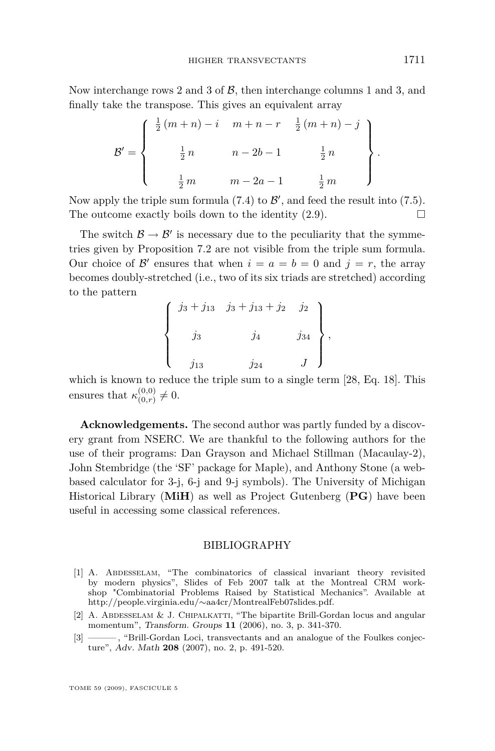<span id="page-41-0"></span>Now interchange rows 2 and 3 of *B*, then interchange columns 1 and 3, and finally take the transpose. This gives an equivalent array

$$
\mathcal{B}' = \left\{ \begin{array}{ccc} \frac{1}{2}(m+n) - i & m+n-r & \frac{1}{2}(m+n) - j \\ & & \\ \frac{1}{2}n & n-2b-1 & \frac{1}{2}n \\ & & \\ \frac{1}{2}m & m-2a-1 & \frac{1}{2}m \end{array} \right\}
$$

Now apply the triple sum formula  $(7.4)$  to  $\mathcal{B}'$ , and feed the result into  $(7.5)$ . The outcome exactly boils down to the identity  $(2.9)$ .

The switch  $\mathcal{B} \to \mathcal{B}'$  is necessary due to the peculiarity that the symmetries given by Proposition [7.2](#page-38-0) are not visible from the triple sum formula. Our choice of  $\mathcal{B}'$  ensures that when  $i = a = b = 0$  and  $j = r$ , the array becomes doubly-stretched (i.e., two of its six triads are stretched) according to the pattern

$$
\begin{cases}\n j_3 + j_{13} & j_3 + j_{13} + j_2 & j_2 \\
 j_3 & j_4 & j_{34} \\
 j_{13} & j_{24} & J\n\end{cases},
$$

which is known to reduce the triple sum to a single term [\[28,](#page-42-0) Eq. 18]. This ensures that  $\kappa^{(0,0)}_{(0,r)}$  $_{(0,r)}^{(0,0)} \neq 0.$ 

**Acknowledgements.** The second author was partly funded by a discovery grant from NSERC. We are thankful to the following authors for the use of their programs: Dan Grayson and Michael Stillman (Macaulay-2), John Stembridge (the 'SF' package for Maple), and Anthony Stone (a webbased calculator for 3-j, 6-j and 9-j symbols). The University of Michigan Historical Library (**MiH**) as well as Project Gutenberg (**PG**) have been useful in accessing some classical references.

#### BIBLIOGRAPHY

- [1] A. Abdesselam, "The combinatorics of classical invariant theory revisited by modern physics", Slides of Feb 2007 talk at the Montreal CRM workshop "Combinatorial Problems Raised by Statistical Mechanics". Available at http://people.virginia.edu/*∼*aa4cr/MontrealFeb07slides.pdf.
- [2] A. ABDESSELAM & J. CHIPALKATTI, "The bipartite Brill-Gordan locus and angular momentum", Transform. Groups **11** (2006), no. 3, p. 341-370.
- [3] ———, "Brill-Gordan Loci, transvectants and an analogue of the Foulkes conjecture", Adv. Math **208** (2007), no. 2, p. 491-520.

*.*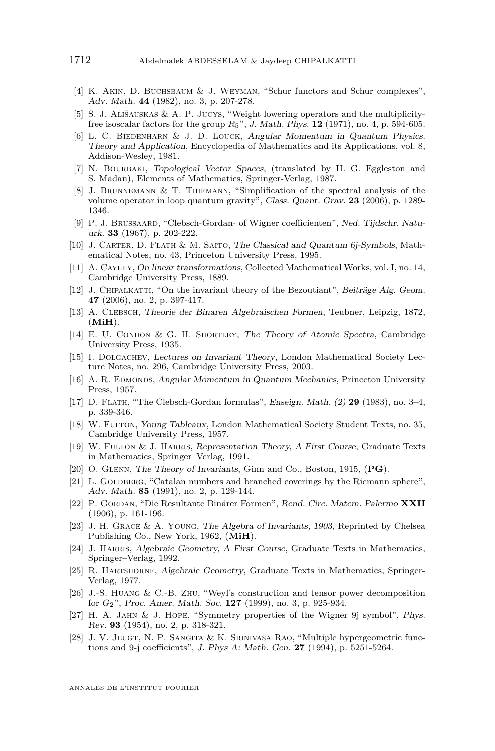- <span id="page-42-0"></span>[4] K. Akin, D. Buchsbaum & J. Weyman, "Schur functors and Schur complexes", Adv. Math. **44** (1982), no. 3, p. 207-278.
- [5] S. J. Ališauskas & A. P. Jucys, "Weight lowering operators and the multiplicityfree isoscalar factors for the group *R*5", J. Math. Phys. **12** (1971), no. 4, p. 594-605.
- [6] L. C. BIEDENHARN & J. D. LOUCK, Angular Momentum in Quantum Physics. Theory and Application, Encyclopedia of Mathematics and its Applications, vol. 8, Addison-Wesley, 1981.
- [7] N. Bourbaki, Topological Vector Spaces, (translated by H. G. Eggleston and S. Madan), Elements of Mathematics, Springer-Verlag, 1987.
- [8] J. Brunnemann & T. Thiemann, "Simplification of the spectral analysis of the volume operator in loop quantum gravity", Class. Quant. Grav. **23** (2006), p. 1289- 1346.
- [9] P. J. Brussaard, "Clebsch-Gordan- of Wigner coefficienten", Ned. Tijdschr. Natuurk. **33** (1967), p. 202-222.
- [10] J. Carter, D. Flath & M. Saito, The Classical and Quantum 6j-Symbols, Mathematical Notes, no. 43, Princeton University Press, 1995.
- [11] A. Cayley, On linear transformations, Collected Mathematical Works, vol. I, no. 14, Cambridge University Press, 1889.
- [12] J. CHIPALKATTI, "On the invariant theory of the Bezoutiant", Beiträge Alg. Geom. **47** (2006), no. 2, p. 397-417.
- [13] A. Clebsch, Theorie der Binaren Algebraischen Formen, Teubner, Leipzig, 1872, (**MiH**).
- [14] E. U. CONDON & G. H. SHORTLEY, The Theory of Atomic Spectra, Cambridge University Press, 1935.
- [15] I. Dolgachev, Lectures on Invariant Theory, London Mathematical Society Lecture Notes, no. 296, Cambridge University Press, 2003.
- [16] A. R. EDMONDS, Angular Momentum in Quantum Mechanics, Princeton University Press, 1957.
- [17] D. Flath, "The Clebsch-Gordan formulas", Enseign. Math. (2) **29** (1983), no. 3–4, p. 339-346.
- [18] W. Fulton, Young Tableaux, London Mathematical Society Student Texts, no. 35, Cambridge University Press, 1957.
- [19] W. FULTON & J. HARRIS, Representation Theory, A First Course, Graduate Texts in Mathematics, Springer–Verlag, 1991.
- [20] O. Glenn, The Theory of Invariants, Ginn and Co., Boston, 1915, (**PG**).
- [21] L. GOLDBERG, "Catalan numbers and branched coverings by the Riemann sphere", Adv. Math. **85** (1991), no. 2, p. 129-144.
- [22] P. Gordan, "Die Resultante Binärer Formen", Rend. Circ. Matem. Palermo **XXII** (1906), p. 161-196.
- [23] J. H. Grace & A. Young, The Algebra of Invariants, 1903, Reprinted by Chelsea Publishing Co., New York, 1962, (**MiH**).
- [24] J. HARRIS, Algebraic Geometry, A First Course, Graduate Texts in Mathematics, Springer–Verlag, 1992.
- [25] R. HARTSHORNE, Algebraic Geometry, Graduate Texts in Mathematics, Springer-Verlag, 1977.
- [26] J.-S. Huang & C.-B. Zhu, "Weyl's construction and tensor power decomposition for *G*2", Proc. Amer. Math. Soc. **127** (1999), no. 3, p. 925-934.
- [27] H. A. Jahn & J. Hope, "Symmetry properties of the Wigner 9j symbol", Phys. Rev. **93** (1954), no. 2, p. 318-321.
- [28] J. V. Jeugt, N. P. Sangita & K. Srinivasa Rao, "Multiple hypergeometric functions and 9-j coefficients", J. Phys A: Math. Gen. **27** (1994), p. 5251-5264.